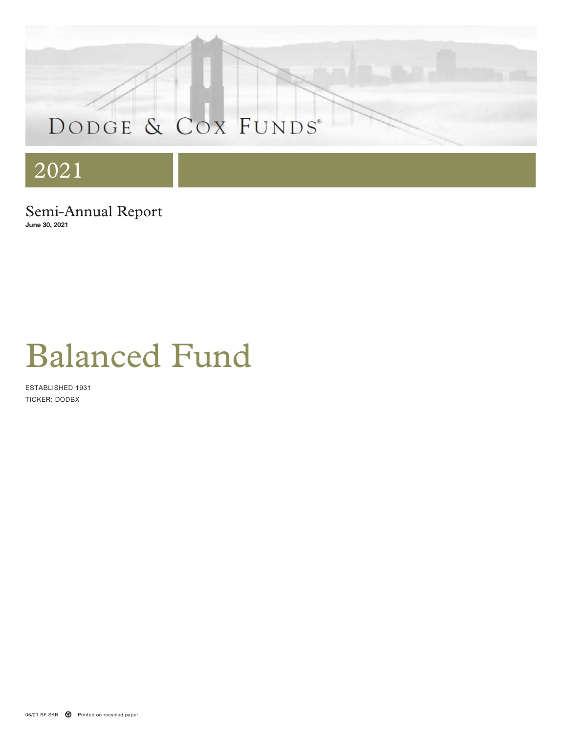# DODGE & COX FUNDS®

## 2021

Semi-Annual Report **June 30, 2021**

# Balanced Fund

ESTABLISHED 1931 TICKER: DODBX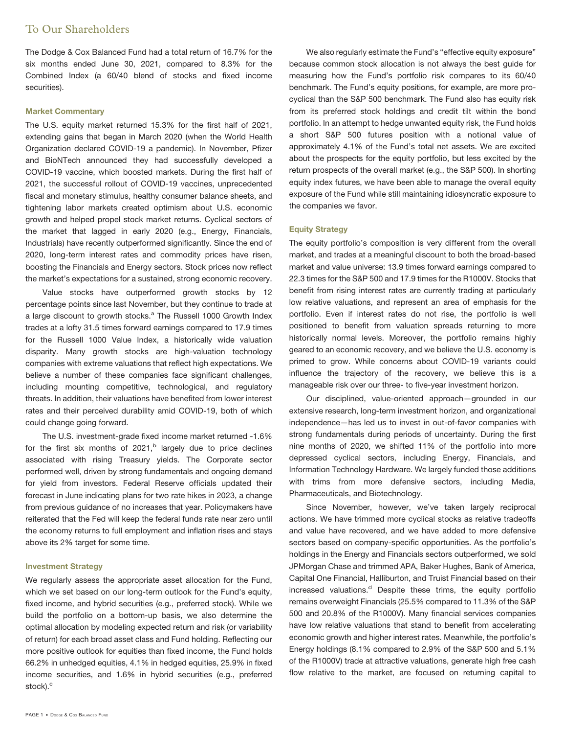### To Our Shareholders

The Dodge & Cox Balanced Fund had a total return of 16.7% for the six months ended June 30, 2021, compared to 8.3% for the Combined Index (a 60/40 blend of stocks and fixed income securities).

### **Market Commentary**

The U.S. equity market returned 15.3% for the first half of 2021, extending gains that began in March 2020 (when the World Health Organization declared COVID-19 a pandemic). In November, Pfizer and BioNTech announced they had successfully developed a COVID-19 vaccine, which boosted markets. During the first half of 2021, the successful rollout of COVID-19 vaccines, unprecedented fiscal and monetary stimulus, healthy consumer balance sheets, and tightening labor markets created optimism about U.S. economic growth and helped propel stock market returns. Cyclical sectors of the market that lagged in early 2020 (e.g., Energy, Financials, Industrials) have recently outperformed significantly. Since the end of 2020, long-term interest rates and commodity prices have risen, boosting the Financials and Energy sectors. Stock prices now reflect the market's expectations for a sustained, strong economic recovery.

Value stocks have outperformed growth stocks by 12 percentage points since last November, but they continue to trade at a large discount to growth stocks.<sup>a</sup> The Russell 1000 Growth Index trades at a lofty 31.5 times forward earnings compared to 17.9 times for the Russell 1000 Value Index, a historically wide valuation disparity. Many growth stocks are high-valuation technology companies with extreme valuations that reflect high expectations. We believe a number of these companies face significant challenges, including mounting competitive, technological, and regulatory threats. In addition, their valuations have benefited from lower interest rates and their perceived durability amid COVID-19, both of which could change going forward.

The U.S. investment-grade fixed income market returned -1.6% for the first six months of  $2021$ , argely due to price declines associated with rising Treasury yields. The Corporate sector performed well, driven by strong fundamentals and ongoing demand for yield from investors. Federal Reserve officials updated their forecast in June indicating plans for two rate hikes in 2023, a change from previous guidance of no increases that year. Policymakers have reiterated that the Fed will keep the federal funds rate near zero until the economy returns to full employment and inflation rises and stays above its 2% target for some time.

#### **Investment Strategy**

We regularly assess the appropriate asset allocation for the Fund, which we set based on our long-term outlook for the Fund's equity, fixed income, and hybrid securities (e.g., preferred stock). While we build the portfolio on a bottom-up basis, we also determine the optimal allocation by modeling expected return and risk (or variability of return) for each broad asset class and Fund holding. Reflecting our more positive outlook for equities than fixed income, the Fund holds 66.2% in unhedged equities, 4.1% in hedged equities, 25.9% in fixed income securities, and 1.6% in hybrid securities (e.g., preferred stock).<sup>c</sup>

We also regularly estimate the Fund's "effective equity exposure" because common stock allocation is not always the best guide for measuring how the Fund's portfolio risk compares to its 60/40 benchmark. The Fund's equity positions, for example, are more procyclical than the S&P 500 benchmark. The Fund also has equity risk from its preferred stock holdings and credit tilt within the bond portfolio. In an attempt to hedge unwanted equity risk, the Fund holds a short S&P 500 futures position with a notional value of approximately 4.1% of the Fund's total net assets. We are excited about the prospects for the equity portfolio, but less excited by the return prospects of the overall market (e.g., the S&P 500). In shorting equity index futures, we have been able to manage the overall equity exposure of the Fund while still maintaining idiosyncratic exposure to the companies we favor.

#### **Equity Strategy**

The equity portfolio's composition is very different from the overall market, and trades at a meaningful discount to both the broad-based market and value universe: 13.9 times forward earnings compared to 22.3 times for the S&P 500 and 17.9 times for the R1000V. Stocks that benefit from rising interest rates are currently trading at particularly low relative valuations, and represent an area of emphasis for the portfolio. Even if interest rates do not rise, the portfolio is well positioned to benefit from valuation spreads returning to more historically normal levels. Moreover, the portfolio remains highly geared to an economic recovery, and we believe the U.S. economy is primed to grow. While concerns about COVID-19 variants could influence the trajectory of the recovery, we believe this is a manageable risk over our three- to five-year investment horizon.

Our disciplined, value-oriented approach—grounded in our extensive research, long-term investment horizon, and organizational independence—has led us to invest in out-of-favor companies with strong fundamentals during periods of uncertainty. During the first nine months of 2020, we shifted 11% of the portfolio into more depressed cyclical sectors, including Energy, Financials, and Information Technology Hardware. We largely funded those additions with trims from more defensive sectors, including Media, Pharmaceuticals, and Biotechnology.

Since November, however, we've taken largely reciprocal actions. We have trimmed more cyclical stocks as relative tradeoffs and value have recovered, and we have added to more defensive sectors based on company-specific opportunities. As the portfolio's holdings in the Energy and Financials sectors outperformed, we sold JPMorgan Chase and trimmed APA, Baker Hughes, Bank of America, Capital One Financial, Halliburton, and Truist Financial based on their increased valuations.<sup>d</sup> Despite these trims, the equity portfolio remains overweight Financials (25.5% compared to 11.3% of the S&P 500 and 20.8% of the R1000V). Many financial services companies have low relative valuations that stand to benefit from accelerating economic growth and higher interest rates. Meanwhile, the portfolio's Energy holdings (8.1% compared to 2.9% of the S&P 500 and 5.1% of the R1000V) trade at attractive valuations, generate high free cash flow relative to the market, are focused on returning capital to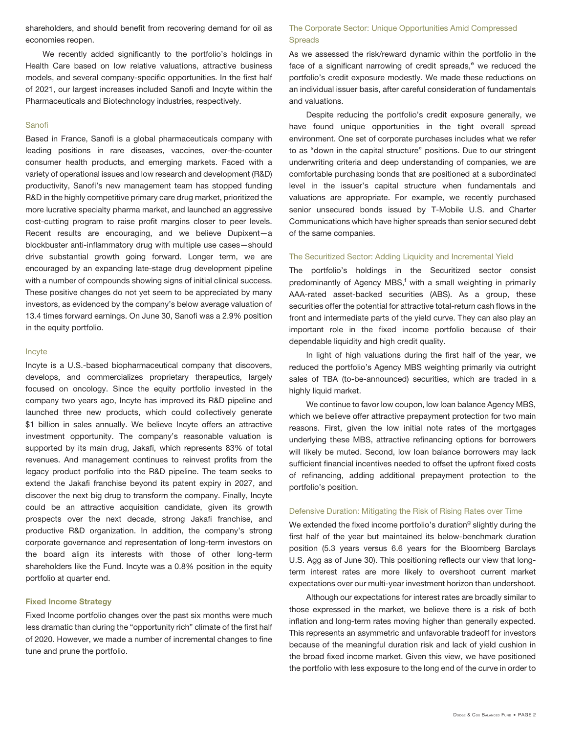shareholders, and should benefit from recovering demand for oil as economies reopen.

We recently added significantly to the portfolio's holdings in Health Care based on low relative valuations, attractive business models, and several company-specific opportunities. In the first half of 2021, our largest increases included Sanofi and Incyte within the Pharmaceuticals and Biotechnology industries, respectively.

#### Sanofi

Based in France, Sanofi is a global pharmaceuticals company with leading positions in rare diseases, vaccines, over-the-counter consumer health products, and emerging markets. Faced with a variety of operational issues and low research and development (R&D) productivity, Sanofi's new management team has stopped funding R&D in the highly competitive primary care drug market, prioritized the more lucrative specialty pharma market, and launched an aggressive cost-cutting program to raise profit margins closer to peer levels. Recent results are encouraging, and we believe Dupixent—a blockbuster anti-inflammatory drug with multiple use cases—should drive substantial growth going forward. Longer term, we are encouraged by an expanding late-stage drug development pipeline with a number of compounds showing signs of initial clinical success. These positive changes do not yet seem to be appreciated by many investors, as evidenced by the company's below average valuation of 13.4 times forward earnings. On June 30, Sanofi was a 2.9% position in the equity portfolio.

#### Incyte

Incyte is a U.S.-based biopharmaceutical company that discovers, develops, and commercializes proprietary therapeutics, largely focused on oncology. Since the equity portfolio invested in the company two years ago, Incyte has improved its R&D pipeline and launched three new products, which could collectively generate \$1 billion in sales annually. We believe Incyte offers an attractive investment opportunity. The company's reasonable valuation is supported by its main drug, Jakafi, which represents 83% of total revenues. And management continues to reinvest profits from the legacy product portfolio into the R&D pipeline. The team seeks to extend the Jakafi franchise beyond its patent expiry in 2027, and discover the next big drug to transform the company. Finally, Incyte could be an attractive acquisition candidate, given its growth prospects over the next decade, strong Jakafi franchise, and productive R&D organization. In addition, the company's strong corporate governance and representation of long-term investors on the board align its interests with those of other long-term shareholders like the Fund. Incyte was a 0.8% position in the equity portfolio at quarter end.

#### **Fixed Income Strategy**

Fixed Income portfolio changes over the past six months were much less dramatic than during the "opportunity rich" climate of the first half of 2020. However, we made a number of incremental changes to fine tune and prune the portfolio.

### The Corporate Sector: Unique Opportunities Amid Compressed **Spreads**

As we assessed the risk/reward dynamic within the portfolio in the face of a significant narrowing of credit spreads, $e$  we reduced the portfolio's credit exposure modestly. We made these reductions on an individual issuer basis, after careful consideration of fundamentals and valuations.

Despite reducing the portfolio's credit exposure generally, we have found unique opportunities in the tight overall spread environment. One set of corporate purchases includes what we refer to as "down in the capital structure" positions. Due to our stringent underwriting criteria and deep understanding of companies, we are comfortable purchasing bonds that are positioned at a subordinated level in the issuer's capital structure when fundamentals and valuations are appropriate. For example, we recently purchased senior unsecured bonds issued by T-Mobile U.S. and Charter Communications which have higher spreads than senior secured debt of the same companies.

#### The Securitized Sector: Adding Liquidity and Incremental Yield

The portfolio's holdings in the Securitized sector consist predominantly of Agency MBS,<sup>f</sup> with a small weighting in primarily AAA-rated asset-backed securities (ABS). As a group, these securities offer the potential for attractive total-return cash flows in the front and intermediate parts of the yield curve. They can also play an important role in the fixed income portfolio because of their dependable liquidity and high credit quality.

In light of high valuations during the first half of the year, we reduced the portfolio's Agency MBS weighting primarily via outright sales of TBA (to-be-announced) securities, which are traded in a highly liquid market.

We continue to favor low coupon, low loan balance Agency MBS, which we believe offer attractive prepayment protection for two main reasons. First, given the low initial note rates of the mortgages underlying these MBS, attractive refinancing options for borrowers will likely be muted. Second, low loan balance borrowers may lack sufficient financial incentives needed to offset the upfront fixed costs of refinancing, adding additional prepayment protection to the portfolio's position.

#### Defensive Duration: Mitigating the Risk of Rising Rates over Time

We extended the fixed income portfolio's duration<sup>g</sup> slightly during the first half of the year but maintained its below-benchmark duration position (5.3 years versus 6.6 years for the Bloomberg Barclays U.S. Agg as of June 30). This positioning reflects our view that longterm interest rates are more likely to overshoot current market expectations over our multi-year investment horizon than undershoot.

Although our expectations for interest rates are broadly similar to those expressed in the market, we believe there is a risk of both inflation and long-term rates moving higher than generally expected. This represents an asymmetric and unfavorable tradeoff for investors because of the meaningful duration risk and lack of yield cushion in the broad fixed income market. Given this view, we have positioned the portfolio with less exposure to the long end of the curve in order to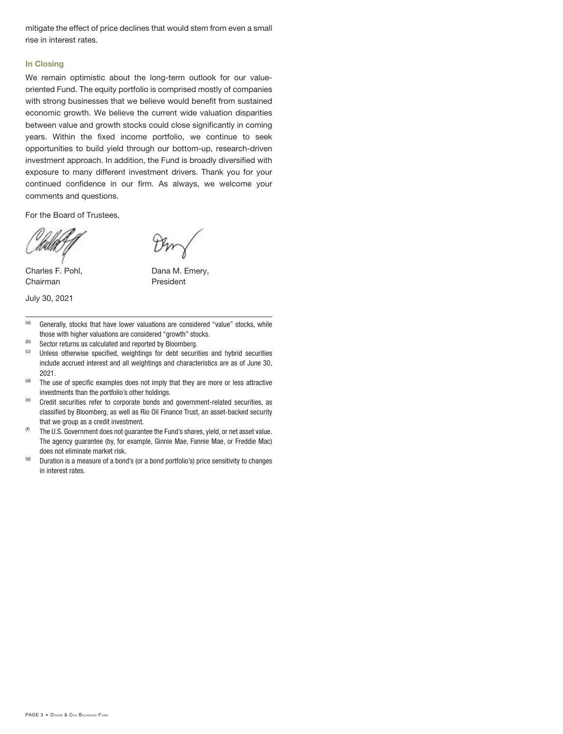mitigate the effect of price declines that would stem from even a small rise in interest rates.

### **In Closing**

We remain optimistic about the long-term outlook for our valueoriented Fund. The equity portfolio is comprised mostly of companies with strong businesses that we believe would benefit from sustained economic growth. We believe the current wide valuation disparities between value and growth stocks could close significantly in coming years. Within the fixed income portfolio, we continue to seek opportunities to build yield through our bottom-up, research-driven investment approach. In addition, the Fund is broadly diversified with exposure to many different investment drivers. Thank you for your continued confidence in our firm. As always, we welcome your comments and questions.

For the Board of Trustees,

Charles F. Pohl, Chairman

July 30, 2021

Dana M. Emery, President

- (a) Generally, stocks that have lower valuations are considered "value" stocks, while those with higher valuations are considered "growth" stocks.
- (b) Sector returns as calculated and reported by Bloomberg.
- (c) Unless otherwise specified, weightings for debt securities and hybrid securities include accrued interest and all weightings and characteristics are as of June 30, 2021.
- (d) The use of specific examples does not imply that they are more or less attractive investments than the portfolio's other holdings.
- (e) Credit securities refer to corporate bonds and government-related securities, as classified by Bloomberg, as well as Rio Oil Finance Trust, an asset-backed security that we group as a credit investment.
- $(6)$  The U.S. Government does not guarantee the Fund's shares, yield, or net asset value. The agency guarantee (by, for example, Ginnie Mae, Fannie Mae, or Freddie Mac) does not eliminate market risk.
- $(9)$  Duration is a measure of a bond's (or a bond portfolio's) price sensitivity to changes in interest rates.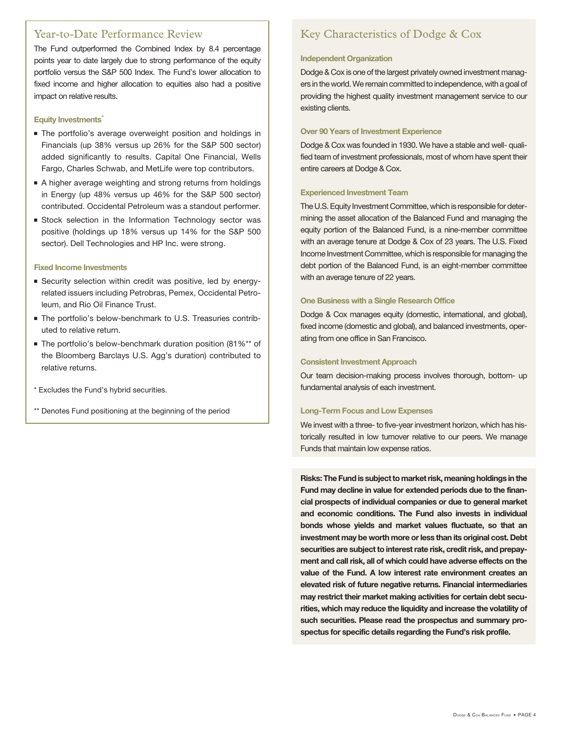### Year-to-Date Performance Review

The Fund outperformed the Combined Index by 8.4 percentage points year to date largely due to strong performance of the equity portfolio versus the S&P 500 Index. The Fund's lower allocation to fixed income and higher allocation to equities also had a positive impact on relative results.

### **Equity Investments<sup>\*</sup>**

- **The portfolio's average overweight position and holdings in** Financials (up 38% versus up 26% for the S&P 500 sector) added significantly to results. Capital One Financial, Wells Fargo, Charles Schwab, and MetLife were top contributors.
- A higher average weighting and strong returns from holdings in Energy (up 48% versus up 46% for the S&P 500 sector) contributed. Occidental Petroleum was a standout performer.
- **Stock selection in the Information Technology sector was** positive (holdings up 18% versus up 14% for the S&P 500 sector). Dell Technologies and HP Inc. were strong.

#### **Fixed Income Investments**

- **Security selection within credit was positive, led by energy**related issuers including Petrobras, Pemex, Occidental Petroleum, and Rio Oil Finance Trust.
- The portfolio's below-benchmark to U.S. Treasuries contributed to relative return.
- The portfolio's below-benchmark duration position (81%\*\* of the Bloomberg Barclays U.S. Agg's duration) contributed to relative returns.
- \* Excludes the Fund's hybrid securities.
- \*\* Denotes Fund positioning at the beginning of the period

### Key Characteristics of Dodge & Cox

#### **Independent Organization**

Dodge & Cox is one of the largest privately owned investment managers in the world.We remain committed to independence, with a goal of providing the highest quality investment management service to our existing clients.

#### **Over 90 Years of Investment Experience**

Dodge & Cox was founded in 1930. We have a stable and well- qualified team of investment professionals, most of whom have spent their entire careers at Dodge & Cox.

### **Experienced Investment Team**

The U.S. Equity Investment Committee, which is responsible for determining the asset allocation of the Balanced Fund and managing the equity portion of the Balanced Fund, is a nine-member committee with an average tenure at Dodge & Cox of 23 years. The U.S. Fixed Income Investment Committee, which is responsible for managing the debt portion of the Balanced Fund, is an eight-member committee with an average tenure of 22 years.

### **One Business with a Single Research Office**

Dodge & Cox manages equity (domestic, international, and global), fixed income (domestic and global), and balanced investments, operating from one office in San Francisco.

#### **Consistent Investment Approach**

Our team decision-making process involves thorough, bottom- up fundamental analysis of each investment.

#### **Long-Term Focus and Low Expenses**

We invest with a three- to five-year investment horizon, which has historically resulted in low turnover relative to our peers. We manage Funds that maintain low expense ratios.

**Risks: The Fund is subject tomarket risk,meaning holdings in the Fund may decline in value for extended periods due to the financial prospects of individual companies or due to general market and economic conditions. The Fund also invests in individual bonds whose yields and market values fluctuate, so that an investment may be worth more or less than its original cost. Debt securities are subject to interest rate risk, credit risk, and prepayment and call risk, all of which could have adverse effects on the value of the Fund. A low interest rate environment creates an elevated risk of future negative returns. Financial intermediaries may restrict their market making activities for certain debt securities, which may reduce the liquidity and increase the volatility of such securities. Please read the prospectus and summary prospectus for specific details regarding the Fund's risk profile.**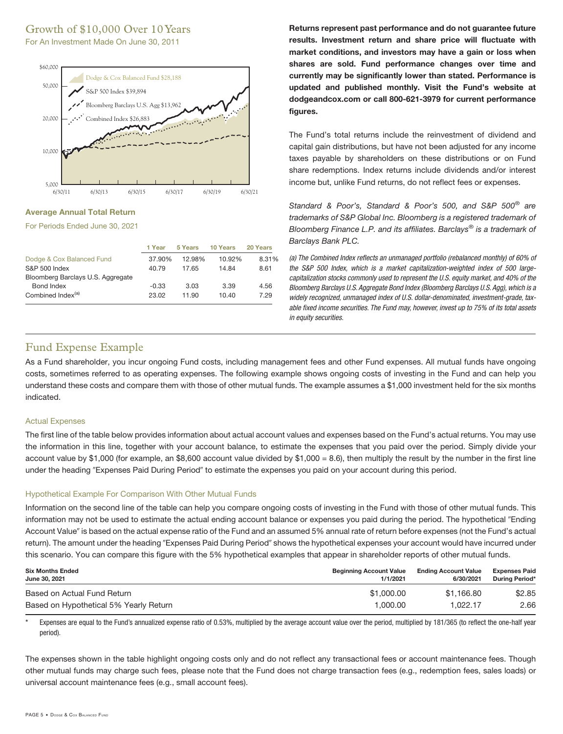### Growth of \$10,000 Over 10Years

For An Investment Made On June 30, 2011



#### **Average Annual Total Return**

For Periods Ended June 30, 2021

|                                   | 1 Year  | 5 Years | 10 Years | 20 Years |
|-----------------------------------|---------|---------|----------|----------|
| Dodge & Cox Balanced Fund         | 37.90%  | 12.98%  | 10.92%   | 8.31%    |
| <b>S&amp;P 500 Index</b>          | 40.79   | 17.65   | 14.84    | 8.61     |
| Bloomberg Barclays U.S. Aggregate |         |         |          |          |
| Bond Index                        | $-0.33$ | 3.03    | 3.39     | 4.56     |
| Combined Index <sup>(a)</sup>     | 23.02   | 11.90   | 10.40    | 7.29     |

**Returns represent past performance and do not guarantee future results. Investment return and share price will fluctuate with market conditions, and investors may have a gain or loss when shares are sold. Fund performance changes over time and currently may be significantly lower than stated. Performance is updated and published monthly. Visit the Fund's website at dodgeandcox.com or call 800-621-3979 for current performance figures.**

The Fund's total returns include the reinvestment of dividend and capital gain distributions, but have not been adjusted for any income taxes payable by shareholders on these distributions or on Fund share redemptions. Index returns include dividends and/or interest income but, unlike Fund returns, do not reflect fees or expenses.

Standard & Poor's, Standard & Poor's 500, and S&P 500<sup>®</sup> are trademarks of S&P Global Inc. Bloomberg is a registered trademark of Bloomberg Finance L.P. and its affiliates. Barclays® is a trademark of Barclays Bank PLC.

(a) The Combined Index reflects an unmanaged portfolio (rebalanced monthly) of 60% of the S&P 500 Index, which is a market capitalization-weighted index of 500 largecapitalization stocks commonly used to represent the U.S. equity market, and 40% of the Bloomberg Barclays U.S. Aggregate Bond Index (Bloomberg Barclays U.S. Agg), which is a widely recognized, unmanaged index of U.S. dollar-denominated, investment-grade, taxable fixed income securities. The Fund may, however, invest up to 75% of its total assets in equity securities.

### Fund Expense Example

As a Fund shareholder, you incur ongoing Fund costs, including management fees and other Fund expenses. All mutual funds have ongoing costs, sometimes referred to as operating expenses. The following example shows ongoing costs of investing in the Fund and can help you understand these costs and compare them with those of other mutual funds. The example assumes a \$1,000 investment held for the six months indicated.

### Actual Expenses

The first line of the table below provides information about actual account values and expenses based on the Fund's actual returns. You may use the information in this line, together with your account balance, to estimate the expenses that you paid over the period. Simply divide your account value by \$1,000 (for example, an \$8,600 account value divided by \$1,000 = 8.6), then multiply the result by the number in the first line under the heading "Expenses Paid During Period" to estimate the expenses you paid on your account during this period.

### Hypothetical Example For Comparison With Other Mutual Funds

Information on the second line of the table can help you compare ongoing costs of investing in the Fund with those of other mutual funds. This information may not be used to estimate the actual ending account balance or expenses you paid during the period. The hypothetical "Ending Account Value" is based on the actual expense ratio of the Fund and an assumed 5% annual rate of return before expenses (not the Fund's actual return). The amount under the heading "Expenses Paid During Period" shows the hypothetical expenses your account would have incurred under this scenario. You can compare this figure with the 5% hypothetical examples that appear in shareholder reports of other mutual funds.

| <b>Six Months Ended</b><br>June 30, 2021 | <b>Beginning Account Value</b><br>1/1/2021 | <b>Ending Account Value</b><br>6/30/2021 | <b>Expenses Paid</b><br><b>During Period*</b> |
|------------------------------------------|--------------------------------------------|------------------------------------------|-----------------------------------------------|
| Based on Actual Fund Return              | \$1,000,00                                 | \$1,166.80                               | \$2.85                                        |
| Based on Hypothetical 5% Yearly Return   | 1.000.00                                   | 1.022.17                                 | 2.66                                          |

Expenses are equal to the Fund's annualized expense ratio of 0.53%, multiplied by the average account value over the period, multiplied by 181/365 (to reflect the one-half year period).

The expenses shown in the table highlight ongoing costs only and do not reflect any transactional fees or account maintenance fees. Though other mutual funds may charge such fees, please note that the Fund does not charge transaction fees (e.g., redemption fees, sales loads) or universal account maintenance fees (e.g., small account fees).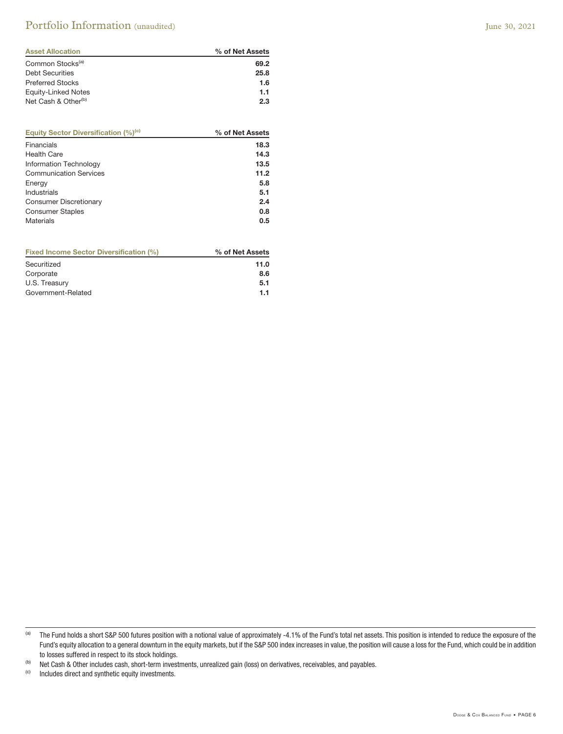### Portfolio Information (unaudited) June 30, 2021

| <b>Asset Allocation</b>         | % of Net Assets |
|---------------------------------|-----------------|
| Common Stocks <sup>(a)</sup>    | 69.2            |
| <b>Debt Securities</b>          | 25.8            |
| <b>Preferred Stocks</b>         | 1.6             |
| Equity-Linked Notes             | 1.1             |
| Net Cash & Other <sup>(b)</sup> | 2.3             |

| Equity Sector Diversification (%) <sup>(c)</sup> | % of Net Assets |
|--------------------------------------------------|-----------------|
| <b>Financials</b>                                | 18.3            |
| <b>Health Care</b>                               | 14.3            |
| Information Technology                           | 13.5            |
| <b>Communication Services</b>                    | 11.2            |
| Energy                                           | 5.8             |
| Industrials                                      | 5.1             |
| Consumer Discretionary                           | 2.4             |
| <b>Consumer Staples</b>                          | 0.8             |
| Materials                                        | 0.5             |

| <b>Fixed Income Sector Diversification (%)</b> | % of Net Assets |
|------------------------------------------------|-----------------|
| Securitized                                    | 11.0            |
| Corporate                                      | 8.6             |
| U.S. Treasury                                  | 5.1             |
| Government-Related                             | 1.1             |

(b) Net Cash & Other includes cash, short-term investments, unrealized gain (loss) on derivatives, receivables, and payables.<br>(c) Includes direct and svnthetic equity investments.

Includes direct and synthetic equity investments.

<sup>(</sup>a) The Fund holds a short S&P 500 futures position with a notional value of approximately -4.1% of the Fund's total net assets. This position is intended to reduce the exposure of the Fund's equity allocation to a general downturn in the equity markets, but if the S&P 500 index increases in value, the position will cause a loss for the Fund, which could be in addition to losses suffered in respect to its stock holdings.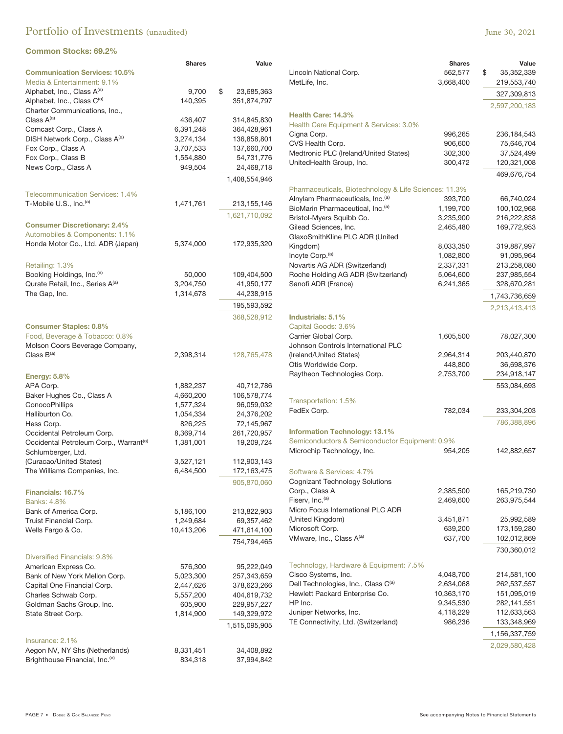### Portfolio of Investments (unaudited)

### **Common Stocks: 69.2%**

| <b>CONNINGH SLOCKS: 09.2%</b>                      |               |                  |
|----------------------------------------------------|---------------|------------------|
|                                                    | <b>Shares</b> | Value            |
| <b>Communication Services: 10.5%</b>               |               |                  |
| Media & Entertainment: 9.1%                        |               |                  |
| Alphabet, Inc., Class A(a)                         | 9,700         | \$<br>23,685,363 |
| Alphabet, Inc., Class C(a)                         | 140,395       | 351,874,797      |
| Charter Communications, Inc.,                      |               |                  |
| Class $A^{(a)}$                                    | 436,407       | 314,845,830      |
| Comcast Corp., Class A                             | 6,391,248     | 364,428,961      |
| DISH Network Corp., Class A(a)                     | 3,274,134     | 136,858,801      |
| Fox Corp., Class A                                 | 3,707,533     | 137,660,700      |
| Fox Corp., Class B                                 | 1,554,880     | 54,731,776       |
| News Corp., Class A                                | 949,504       |                  |
|                                                    |               | 24,468,718       |
|                                                    |               | 1,408,554,946    |
| Telecommunication Services: 1.4%                   |               |                  |
| T-Mobile U.S., Inc. <sup>(a)</sup>                 | 1,471,761     | 213,155,146      |
|                                                    |               |                  |
|                                                    |               | 1,621,710,092    |
| <b>Consumer Discretionary: 2.4%</b>                |               |                  |
| Automobiles & Components: 1.1%                     |               |                  |
| Honda Motor Co., Ltd. ADR (Japan)                  | 5,374,000     | 172,935,320      |
|                                                    |               |                  |
| Retailing: 1.3%                                    |               |                  |
| Booking Holdings, Inc. <sup>(a)</sup>              | 50,000        | 109,404,500      |
| Qurate Retail, Inc., Series A(a)                   | 3,204,750     | 41,950,177       |
| The Gap, Inc.                                      | 1,314,678     | 44,238,915       |
|                                                    |               | 195,593,592      |
|                                                    |               |                  |
|                                                    |               | 368,528,912      |
| <b>Consumer Staples: 0.8%</b>                      |               |                  |
| Food, Beverage & Tobacco: 0.8%                     |               |                  |
| Molson Coors Beverage Company,                     |               |                  |
| Class $B^{(a)}$                                    | 2,398,314     | 128,765,478      |
|                                                    |               |                  |
| <b>Energy: 5.8%</b>                                |               |                  |
| APA Corp.                                          | 1,882,237     | 40,712,786       |
| Baker Hughes Co., Class A                          | 4,660,200     | 106,578,774      |
| ConocoPhillips                                     | 1,577,324     | 96,059,032       |
| Halliburton Co.                                    | 1,054,334     | 24,376,202       |
| Hess Corp.                                         | 826,225       | 72,145,967       |
| Occidental Petroleum Corp.                         | 8,369,714     | 261,720,957      |
| Occidental Petroleum Corp., Warrant <sup>(a)</sup> | 1,381,001     | 19,209,724       |
| Schlumberger, Ltd.                                 |               |                  |
| (Curacao/United States)                            | 3,527,121     | 112,903,143      |
| The Williams Companies, Inc.                       | 6,484,500     | 172,163,475      |
|                                                    |               |                  |
|                                                    |               | 905,870,060      |
| Financials: 16.7%<br>Banks: 4.8%                   |               |                  |
|                                                    |               |                  |
| Bank of America Corp.                              | 5,186,100     | 213,822,903      |
| Truist Financial Corp.                             | 1,249,684     | 69,357,462       |
| Wells Fargo & Co.                                  | 10,413,206    | 471,614,100      |
|                                                    |               | 754,794,465      |
| Diversified Financials: 9.8%                       |               |                  |
|                                                    |               |                  |
| American Express Co.                               | 576,300       | 95,222,049       |
| Bank of New York Mellon Corp.                      | 5,023,300     | 257,343,659      |
| Capital One Financial Corp.                        | 2,447,626     | 378,623,266      |
| Charles Schwab Corp.                               | 5,557,200     | 404,619,732      |
| Goldman Sachs Group, Inc.                          | 605,900       | 229,957,227      |
| State Street Corp.                                 | 1,814,900     | 149,329,972      |
|                                                    |               | 1,515,095,905    |
|                                                    |               |                  |
| Insurance: 2.1%                                    |               |                  |
| Aegon NV, NY Shs (Netherlands)                     | 8,331,451     | 34,408,892       |
| Brighthouse Financial, Inc. <sup>(a)</sup>         | 834,318       | 37,994,842       |

|  | June 30, 2021 |  |
|--|---------------|--|
|  |               |  |
|  |               |  |

|                                                                                        | <b>Shares</b> | Value            |
|----------------------------------------------------------------------------------------|---------------|------------------|
| Lincoln National Corp.                                                                 | 562,577       | 35,352,339<br>\$ |
| MetLife, Inc.                                                                          | 3,668,400     | 219,553,740      |
|                                                                                        |               | 327,309,813      |
| Health Care: 14.3%                                                                     |               | 2,597,200,183    |
| Health Care Equipment & Services: 3.0%                                                 |               |                  |
| Cigna Corp.                                                                            | 996,265       | 236, 184, 543    |
| CVS Health Corp.                                                                       | 906,600       | 75,646,704       |
| Medtronic PLC (Ireland/United States)                                                  | 302,300       | 37,524,499       |
| UnitedHealth Group, Inc.                                                               | 300,472       | 120,321,008      |
|                                                                                        |               | 469,676,754      |
| Pharmaceuticals, Biotechnology & Life Sciences: 11.3%                                  |               |                  |
| Alnylam Pharmaceuticals, Inc. <sup>(a)</sup>                                           | 393,700       | 66,740,024       |
| BioMarin Pharmaceutical, Inc. <sup>(a)</sup>                                           | 1,199,700     | 100,102,968      |
| Bristol-Myers Squibb Co.                                                               | 3,235,900     | 216,222,838      |
| Gilead Sciences, Inc.                                                                  | 2,465,480     | 169,772,953      |
| GlaxoSmithKline PLC ADR (United                                                        |               |                  |
| Kingdom)                                                                               | 8,033,350     | 319,887,997      |
| Incyte Corp. <sup>(a)</sup>                                                            | 1,082,800     | 91,095,964       |
| Novartis AG ADR (Switzerland)                                                          | 2,337,331     | 213,258,080      |
| Roche Holding AG ADR (Switzerland)                                                     | 5,064,600     | 237,985,554      |
| Sanofi ADR (France)                                                                    | 6,241,365     | 328,670,281      |
|                                                                                        |               | 1,743,736,659    |
|                                                                                        |               | 2,213,413,413    |
| Industrials: 5.1%                                                                      |               |                  |
| Capital Goods: 3.6%                                                                    |               |                  |
| Carrier Global Corp.                                                                   | 1,605,500     | 78,027,300       |
| Johnson Controls International PLC                                                     |               |                  |
| (Ireland/United States)                                                                | 2,964,314     | 203,440,870      |
| Otis Worldwide Corp.                                                                   | 448,800       | 36,698,376       |
| Raytheon Technologies Corp.                                                            | 2,753,700     | 234,918,147      |
|                                                                                        |               | 553,084,693      |
| Transportation: 1.5%                                                                   |               |                  |
| FedEx Corp.                                                                            | 782,034       | 233,304,203      |
|                                                                                        |               | 786,388,896      |
| <b>Information Technology: 13.1%</b><br>Semiconductors & Semiconductor Equipment: 0.9% |               |                  |
| Microchip Technology, Inc.                                                             | 954,205       | 142,882,657      |
|                                                                                        |               |                  |
| Software & Services: 4.7%                                                              |               |                  |
| <b>Cognizant Technology Solutions</b>                                                  |               |                  |
| Corp., Class A                                                                         | 2,385,500     | 165,219,730      |
| Fiserv, Inc. <sup>(a)</sup>                                                            | 2,469,600     | 263,975,544      |
| Micro Focus International PLC ADR                                                      |               |                  |
| (United Kingdom)                                                                       | 3,451,871     | 25,992,589       |
| Microsoft Corp.                                                                        | 639,200       | 173,159,280      |
| VMware, Inc., Class A(a)                                                               | 637,700       | 102,012,869      |
|                                                                                        |               | 730,360,012      |
| Technology, Hardware & Equipment: 7.5%                                                 |               |                  |
| Cisco Systems, Inc.                                                                    | 4,048,700     | 214,581,100      |
| Dell Technologies, Inc., Class C(a)                                                    | 2,634,068     | 262,537,557      |
| Hewlett Packard Enterprise Co.                                                         | 10,363,170    | 151,095,019      |
| HP Inc.                                                                                | 9,345,530     | 282,141,551      |
| Juniper Networks, Inc.                                                                 | 4,118,229     | 112,633,563      |
| TE Connectivity, Ltd. (Switzerland)                                                    | 986,236       | 133,348,969      |
|                                                                                        |               | 1,156,337,759    |
|                                                                                        |               | 2,029,580,428    |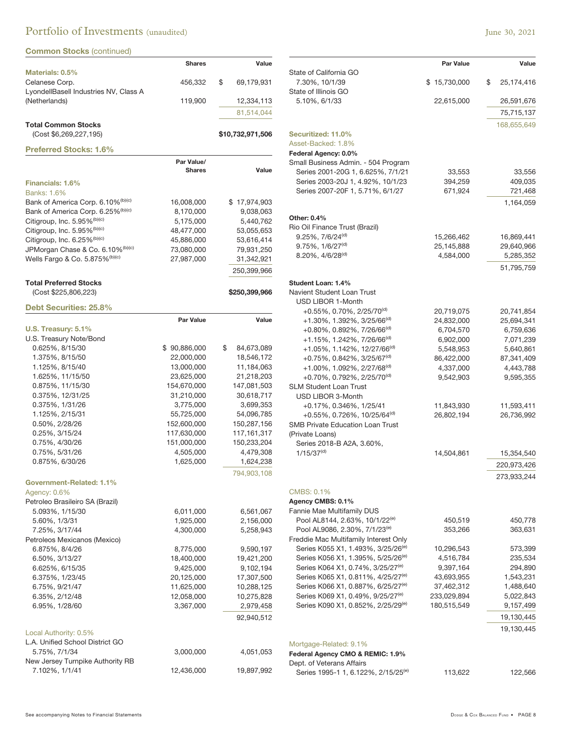**Common Stocks** (continued)

|                                                      | <b>Shares</b>          | Value                  |
|------------------------------------------------------|------------------------|------------------------|
| Materials: 0.5%<br>Celanese Corp.                    | 456,332                | \$<br>69,179,931       |
| LyondellBasell Industries NV, Class A                |                        |                        |
| (Netherlands)                                        | 119,900                | 12,334,113             |
|                                                      |                        | 81,514,044             |
| <b>Total Common Stocks</b><br>(Cost \$6,269,227,195) |                        | \$10,732,971,506       |
| <b>Preferred Stocks: 1.6%</b>                        |                        |                        |
|                                                      | Par Value/             |                        |
|                                                      | <b>Shares</b>          | Value                  |
| <b>Financials: 1.6%</b><br><b>Banks: 1.6%</b>        |                        |                        |
| Bank of America Corp. 6.10% (b)(c)                   | 16,008,000             | \$17,974,903           |
| Bank of America Corp. 6.25% (b)(c)                   | 8,170,000              | 9,038,063              |
| Citigroup, Inc. 5.95% (b)(c)                         | 5,175,000              | 5,440,762              |
| Citigroup, Inc. 5.95% (b)(c)                         | 48,477,000             | 53,055,653             |
| Citigroup, Inc. 6.25%(b)(c)                          | 45,886,000             | 53,616,414             |
| JPMorgan Chase & Co. 6.10% (b)(c)                    | 73,080,000             | 79,931,250             |
| Wells Fargo & Co. 5.875% (b)(c)                      | 27,987,000             | 31,342,921             |
|                                                      |                        | 250,399,966            |
| <b>Total Preferred Stocks</b>                        |                        |                        |
| (Cost \$225,806,223)                                 |                        | \$250,399,966          |
| Debt Securities: 25.8%                               |                        |                        |
| U.S. Treasury: 5.1%                                  | <b>Par Value</b>       | Value                  |
| U.S. Treasury Note/Bond                              |                        |                        |
| 0.625%, 8/15/30                                      | \$90,886,000           | \$<br>84,673,089       |
| 1.375%, 8/15/50                                      | 22,000,000             | 18,546,172             |
| 1.125%, 8/15/40                                      | 13,000,000             | 11,184,063             |
| 1.625%, 11/15/50                                     | 23,625,000             | 21,218,203             |
| 0.875%, 11/15/30                                     | 154,670,000            | 147,081,503            |
| 0.375%, 12/31/25                                     | 31,210,000             | 30,618,717             |
| 0.375%, 1/31/26                                      | 3,775,000              | 3,699,353              |
| 1.125%, 2/15/31                                      | 55,725,000             | 54,096,785             |
| 0.50%, 2/28/26                                       | 152,600,000            | 150,287,156            |
| 0.25%, 3/15/24                                       | 117,630,000            | 117,161,317            |
| 0.75%, 4/30/26                                       | 151,000,000            | 150,233,204            |
| 0.75%, 5/31/26                                       | 4,505,000              |                        |
| 0.875%, 6/30/26                                      | 1,625,000              | 4,479,308<br>1,624,238 |
|                                                      |                        | 794,903,108            |
| Government-Related: 1.1%                             |                        |                        |
| Agency: 0.6%                                         |                        |                        |
| Petroleo Brasileiro SA (Brazil)                      |                        |                        |
| 5.093%, 1/15/30                                      | 6,011,000              | 6,561,067              |
| 5.60%, 1/3/31<br>7.25%, 3/17/44                      | 1,925,000<br>4,300,000 | 2,156,000<br>5,258,943 |
| Petroleos Mexicanos (Mexico)                         |                        |                        |
| 6.875%, 8/4/26                                       | 8,775,000              | 9,590,197              |
| 6.50%, 3/13/27                                       | 18,400,000             | 19,421,200             |
| 6.625%, 6/15/35                                      | 9,425,000              | 9,102,194              |
| 6.375%, 1/23/45                                      |                        |                        |
|                                                      | 20,125,000             | 17,307,500             |
| 6.75%, 9/21/47                                       | 11,625,000             | 10,288,125             |
| 6.35%, 2/12/48                                       | 12,058,000             | 10,275,828             |
| 6.95%, 1/28/60                                       | 3,367,000              | 2,979,458              |
|                                                      |                        | 92,940,512             |
| Local Authority: 0.5%                                |                        |                        |
| L.A. Unified School District GO                      |                        |                        |
| 5.75%, 7/1/34                                        | 3,000,000              | 4,051,053              |
| New Jersey Turnpike Authority RB<br>7.102%, 1/1/41   | 12,436,000             | 19,897,992             |
|                                                      |                        |                        |

|                                                                                      | <b>Par Value</b>        | Value                   |
|--------------------------------------------------------------------------------------|-------------------------|-------------------------|
| State of California GO<br>7.30%, 10/1/39                                             | \$15,730,000            | \$<br>25,174,416        |
| State of Illinois GO                                                                 |                         |                         |
| 5.10%, 6/1/33                                                                        | 22,615,000              | 26,591,676              |
|                                                                                      |                         | 75,715,137              |
|                                                                                      |                         | 168,655,649             |
| Securitized: 11.0%<br>Asset-Backed: 1.8%                                             |                         |                         |
| Federal Agency: 0.0%                                                                 |                         |                         |
| Small Business Admin. - 504 Program<br>Series 2001-20G 1, 6.625%, 7/1/21             |                         |                         |
| Series 2003-20J 1, 4.92%, 10/1/23                                                    | 33,553<br>394,259       | 33,556<br>409,035       |
| Series 2007-20F 1, 5.71%, 6/1/27                                                     | 671,924                 | 721,468                 |
|                                                                                      |                         | 1,164,059               |
|                                                                                      |                         |                         |
| Other: 0.4%                                                                          |                         |                         |
| Rio Oil Finance Trust (Brazil)                                                       |                         |                         |
| $9.25\%$ , $7/6/24^{(d)}$                                                            | 15,266,462              | 16,869,441              |
| $9.75\%$ , $1/6/27^{(d)}$<br>8.20%, 4/6/28 <sup>(d)</sup>                            | 25,145,888<br>4,584,000 | 29,640,966<br>5,285,352 |
|                                                                                      |                         |                         |
|                                                                                      |                         | 51,795,759              |
| Student Loan: 1.4%                                                                   |                         |                         |
| Navient Student Loan Trust                                                           |                         |                         |
| USD LIBOR 1-Month                                                                    |                         |                         |
| $+0.55\%$ , 0.70%, 2/25/70 <sup>(d)</sup>                                            | 20,719,075              | 20,741,854              |
| +1.30%, 1.392%, 3/25/66 <sup>(d)</sup>                                               | 24,832,000              | 25,694,341              |
| $+0.80\%$ , 0.892%, 7/26/66 <sup>(d)</sup><br>+1.15%, 1.242%, 7/26/66 <sup>(d)</sup> | 6,704,570               | 6,759,636               |
| +1.05%, 1.142%, 12/27/66 <sup>(d)</sup>                                              | 6,902,000<br>5,548,953  | 7,071,239<br>5,640,861  |
| $+0.75\%$ , 0.842%, 3/25/67 <sup>(d)</sup>                                           | 86,422,000              | 87,341,409              |
| $+1.00\%$ , 1.092%, 2/27/68 <sup>(d)</sup>                                           | 4,337,000               | 4,443,788               |
| $+0.70\%$ , 0.792%, 2/25/70 <sup>(d)</sup>                                           | 9,542,903               | 9,595,355               |
| <b>SLM Student Loan Trust</b>                                                        |                         |                         |
| USD LIBOR 3-Month                                                                    |                         |                         |
| +0.17%, 0.346%, 1/25/41                                                              | 11,843,930              | 11,593,411              |
| $+0.55\%$ , 0.726%, 10/25/64 <sup>(d)</sup>                                          | 26,802,194              | 26,736,992              |
| <b>SMB Private Education Loan Trust</b>                                              |                         |                         |
| (Private Loans)                                                                      |                         |                         |
| Series 2018-B A2A, 3.60%,<br>$1/15/37^{(d)}$                                         | 14,504,861              | 15,354,540              |
|                                                                                      |                         |                         |
|                                                                                      |                         | 220,973,426             |
|                                                                                      |                         | 273,933,244             |
| CMBS: 0.1%                                                                           |                         |                         |
| Agency CMBS: 0.1%                                                                    |                         |                         |
| Fannie Mae Multifamily DUS                                                           |                         |                         |
| Pool AL8144, 2.63%, 10/1/22 <sup>(e)</sup>                                           | 450,519                 | 450,778                 |
| Pool AL9086, 2.30%, 7/1/23 <sup>(e)</sup><br>Freddie Mac Multifamily Interest Only   | 353,266                 | 363,631                 |
| Series K055 X1, 1.493%, 3/25/26 <sup>(e)</sup>                                       | 10,296,543              | 573,399                 |
| Series K056 X1, 1.395%, 5/25/26 <sup>(e)</sup>                                       | 4,516,784               | 235,534                 |
| Series K064 X1, 0.74%, 3/25/27 <sup>(e)</sup>                                        | 9,397,164               | 294,890                 |
| Series K065 X1, 0.811%, 4/25/27 <sup>(e)</sup>                                       | 43,693,955              | 1,543,231               |
| Series K066 X1, 0.887%, 6/25/27 <sup>(e)</sup>                                       | 37,462,312              | 1,488,640               |
| Series K069 X1, 0.49%, 9/25/27 <sup>(e)</sup>                                        | 233,029,894             | 5,022,843               |
| Series K090 X1, 0.852%, 2/25/29 <sup>(e)</sup>                                       | 180,515,549             | 9,157,499               |
|                                                                                      |                         | 19,130,445              |
|                                                                                      |                         | 19,130,445              |
|                                                                                      |                         |                         |
| Mortgage-Related: 9.1%<br>Federal Agency CMO & REMIC: 1.9%                           |                         |                         |
| Dept. of Veterans Affairs                                                            |                         |                         |
| Series 1995-1 1, 6.122%, 2/15/25 <sup>(e)</sup>                                      | 113,622                 | 122,566                 |
|                                                                                      |                         |                         |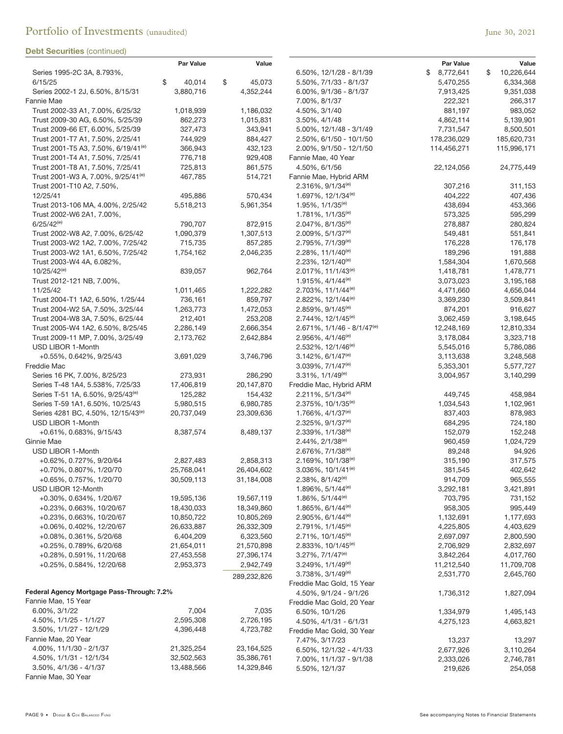**Debt Securities** (continued)

| <b>Debt Securities</b> (continued)              |              |              |                                              |                          |                           |
|-------------------------------------------------|--------------|--------------|----------------------------------------------|--------------------------|---------------------------|
| Series 1995-2C 3A, 8.793%,                      | Par Value    | Value        | 6.50%, 12/1/28 - 8/1/39                      | Par Value<br>\$8,772,641 | Value<br>\$<br>10,226,644 |
| 6/15/25                                         | \$<br>40,014 | \$<br>45,073 | 5.50%, 7/1/33 - 8/1/37                       | 5,470,255                | 6,334,368                 |
| Series 2002-1 2J, 6.50%, 8/15/31                | 3,880,716    | 4,352,244    | $6.00\%$ , $9/1/36 - 8/1/37$                 | 7,913,425                | 9,351,038                 |
| Fannie Mae                                      |              |              | 7.00%, 8/1/37                                | 222,321                  | 266,317                   |
| Trust 2002-33 A1, 7.00%, 6/25/32                | 1,018,939    | 1,186,032    | 4.50%, 3/1/40                                | 881,197                  | 983,052                   |
| Trust 2009-30 AG, 6.50%, 5/25/39                | 862,273      | 1,015,831    | 3.50%, 4/1/48                                | 4,862,114                | 5,139,901                 |
| Trust 2009-66 ET, 6.00%, 5/25/39                | 327,473      | 343,941      | 5.00%, 12/1/48 - 3/1/49                      | 7,731,547                | 8,500,501                 |
| Trust 2001-T7 A1, 7.50%, 2/25/41                | 744,929      | 884,427      | 2.50%, 6/1/50 - 10/1/50                      | 178,236,029              | 185,620,731               |
| Trust 2001-T5 A3, 7.50%, 6/19/41 <sup>(e)</sup> | 366,943      | 432,123      | 2.00%, 9/1/50 - 12/1/50                      | 114,456,271              | 115,996,171               |
| Trust 2001-T4 A1, 7.50%, 7/25/41                | 776,718      | 929,408      | Fannie Mae, 40 Year                          |                          |                           |
| Trust 2001-T8 A1, 7.50%, 7/25/41                | 725,813      | 861,575      | 4.50%, 6/1/56                                | 22,124,056               | 24,775,449                |
| Trust 2001-W3 A, 7.00%, 9/25/41 <sup>(e)</sup>  | 467,785      | 514,721      | Fannie Mae, Hybrid ARM                       |                          |                           |
| Trust 2001-T10 A2, 7.50%,                       |              |              | $2.316\%, 9/1/34^{(e)}$                      | 307,216                  | 311,153                   |
| 12/25/41                                        | 495,886      | 570,434      | 1.697%, $12/1/34^{(e)}$                      | 404,222                  | 407,436                   |
| Trust 2013-106 MA, 4.00%, 2/25/42               | 5,518,213    | 5,961,354    | $1.95\%$ , $1/1/35^{(e)}$                    | 438,694                  | 453,366                   |
| Trust 2002-W6 2A1, 7.00%,                       |              |              | 1.781%, 1/1/35 <sup>(e)</sup>                | 573,325                  | 595,299                   |
| $6/25/42^{(e)}$                                 | 790,707      | 872,915      | $2.047\%$ , 8/1/35 <sup>(e)</sup>            | 278,887                  | 280,824                   |
| Trust 2002-W8 A2, 7.00%, 6/25/42                | 1,090,379    | 1,307,513    | $2.009\%$ , 5/1/37 <sup>(e)</sup>            | 549,481                  | 551,841                   |
| Trust 2003-W2 1A2, 7.00%, 7/25/42               | 715,735      | 857,285      | $2.795\%, 7/1/39^{(e)}$                      | 176,228                  | 176,178                   |
| Trust 2003-W2 1A1, 6.50%, 7/25/42               | 1,754,162    | 2,046,235    | $2.28\%, 11/1/40^{(e)}$                      | 189,296                  | 191,888                   |
| Trust 2003-W4 4A, 6.082%,                       |              |              | $2.23\%$ , 12/1/40 <sup>(e)</sup>            | 1,584,304                | 1,670,568                 |
| $10/25/42^{(e)}$                                | 839,057      | 962,764      | 2.017%, 11/1/43 <sup>(e)</sup>               | 1,418,781                | 1,478,771                 |
| Trust 2012-121 NB, 7.00%,                       |              |              | 1.915%, $4/1/44$ <sup>(e)</sup>              | 3,073,023                | 3,195,168                 |
| 11/25/42                                        | 1,011,465    | 1,222,282    | 2.703%, 11/1/44 <sup>(e)</sup>               | 4,471,660                | 4,656,044                 |
| Trust 2004-T1 1A2, 6.50%, 1/25/44               | 736,161      | 859,797      | 2.822%, 12/1/44 <sup>(e)</sup>               | 3,369,230                | 3,509,841                 |
| Trust 2004-W2 5A, 7.50%, 3/25/44                | 1,263,773    | 1,472,053    | $2.859\%, 9/1/45^{(e)}$                      | 874,201                  | 916,627                   |
| Trust 2004-W8 3A, 7.50%, 6/25/44                | 212,401      | 253,208      | 2.744%, 12/1/45 <sup>(e)</sup>               | 3,062,459                | 3,198,645                 |
| Trust 2005-W4 1A2, 6.50%, 8/25/45               | 2,286,149    | 2,666,354    | $2.671\%$ , $1/1/46 - 8/1/47$ <sup>(e)</sup> | 12,248,169               | 12,810,334                |
| Trust 2009-11 MP, 7.00%, 3/25/49                | 2,173,762    | 2,642,884    | $2.956\%, \frac{4}{1}{46}^{e}$               | 3,178,084                | 3,323,718                 |
| USD LIBOR 1-Month                               |              |              | $2.532\%$ , 12/1/46 <sup>(e)</sup>           | 5,545,016                | 5,786,086                 |
| +0.55%, 0.642%, 9/25/43                         | 3,691,029    | 3,746,796    | $3.142\%$ , 6/1/47 <sup>(e)</sup>            | 3,113,638                | 3,248,568                 |
| Freddie Mac                                     |              |              | $3.039\%, 7/1/47^{(e)}$                      | 5,353,301                | 5,577,727                 |
| Series 16 PK, 7.00%, 8/25/23                    | 273,931      | 286,290      | $3.31\%, 1/1/49^{(e)}$                       | 3,004,957                | 3,140,299                 |
| Series T-48 1A4, 5.538%, 7/25/33                | 17,406,819   | 20,147,870   | Freddie Mac, Hybrid ARM                      |                          |                           |
| Series T-51 1A, 6.50%, 9/25/43 <sup>(e)</sup>   | 125,282      | 154,432      | $2.211\%$ , 5/1/34 <sup>(e)</sup>            | 449,745                  | 458,984                   |
| Series T-59 1A1, 6.50%, 10/25/43                | 5,980,515    | 6,980,785    | $2.375\%$ , 10/1/35 <sup>(e)</sup>           | 1,034,543                | 1,102,961                 |
| Series 4281 BC, 4.50%, 12/15/43 <sup>(e)</sup>  | 20,737,049   | 23,309,636   | $1.766\%, 4/1/37^{(e)}$                      | 837,403                  | 878,983                   |
| USD LIBOR 1-Month                               |              |              | $2.325\%$ , 9/1/37 <sup>(e)</sup>            | 684,295                  | 724,180                   |
| +0.61%, 0.683%, 9/15/43                         | 8,387,574    | 8,489,137    | $2.339\%$ , $1/1/38^{(e)}$                   | 152,079                  | 152,248                   |
| Ginnie Mae                                      |              |              | $2.44\%, 2/1/38^{(e)}$                       | 960,459                  | 1,024,729                 |
| USD LIBOR 1-Month                               |              |              | $2.676\%, 7/1/38^{(e)}$                      | 89,248                   | 94,926                    |
| $+0.62\%$ , 0.727%, 9/20/64                     | 2,827,483    | 2,858,313    | $2.169\%, 10/1/38^{(e)}$                     | 315,190                  | 317,575                   |
| +0.70%, 0.807%, 1/20/70                         | 25,768,041   | 26,404,602   | 3.036%, 10/1/41 <sup>(e)</sup>               | 381,545                  | 402,642                   |
| +0.65%, 0.757%, 1/20/70                         | 30,509,113   | 31,184,008   | 2.38%, 8/1/42 <sup>(e)</sup>                 | 914,709                  | 965,555                   |
| USD LIBOR 12-Month                              |              |              | $1.896\%, 5/1/44^{(e)}$                      | 3,292,181                | 3,421,891                 |
| +0.30%, 0.634%, 1/20/67                         | 19,595,136   | 19,567,119   | $1.86\%, 5/1/44^{(e)}$                       | 703,795                  | 731,152                   |
| +0.23%, 0.663%, 10/20/67                        | 18,430,033   | 18,349,860   | $1.865\%, 6/1/44^{(e)}$                      | 958,305                  | 995,449                   |
| +0.23%, 0.663%, 10/20/67                        | 10,850,722   | 10,805,269   | $2.905\%, 6/1/44^{(e)}$                      | 1,132,691                | 1,177,693                 |
| +0.06%, 0.402%, 12/20/67                        | 26,633,887   | 26,332,309   | $2.791\%$ , 1/1/45 <sup>(e)</sup>            | 4,225,805                | 4,403,629                 |
| +0.08%, 0.361%, 5/20/68                         | 6,404,209    | 6,323,560    | $2.71\%$ , 10/1/45 <sup>(e)</sup>            | 2,697,097                | 2,800,590                 |
| +0.25%, 0.789%, 6/20/68                         | 21,654,011   | 21,570,898   | 2.833%, 10/1/45 <sup>(e)</sup>               | 2,706,929                | 2,832,697                 |
| +0.28%, 0.591%, 11/20/68                        | 27,453,558   | 27,396,174   | $3.27\%$ , $7/1/47$ <sup>(e)</sup>           | 3,842,264                | 4,017,760                 |
| +0.25%, 0.584%, 12/20/68                        | 2,953,373    | 2,942,749    | $3.249\%$ , $1/1/49^{(e)}$                   | 11,212,540               | 11,709,708                |
|                                                 |              | 289,232,826  | $3.738\%, 3/1/49^{(e)}$                      | 2,531,770                | 2,645,760                 |
|                                                 |              |              | Freddie Mac Gold, 15 Year                    |                          |                           |
| Federal Agency Mortgage Pass-Through: 7.2%      |              |              | 4.50%, 9/1/24 - 9/1/26                       | 1,736,312                | 1,827,094                 |
| Fannie Mae, 15 Year                             |              |              | Freddie Mac Gold, 20 Year                    |                          |                           |
| 6.00%, 3/1/22                                   | 7,004        | 7,035        | 6.50%, 10/1/26                               | 1,334,979                | 1,495,143                 |
| $4.50\%$ , $1/1/25 - 1/1/27$                    | 2,595,308    | 2,726,195    | 4.50%, 4/1/31 - 6/1/31                       | 4,275,123                | 4,663,821                 |
| 3.50%, 1/1/27 - 12/1/29                         | 4,396,448    | 4,723,782    | Freddie Mac Gold, 30 Year                    |                          |                           |
| Fannie Mae, 20 Year                             |              |              | 7.47%, 3/17/23                               | 13,237                   | 13,297                    |
| 4.00%, 11/1/30 - 2/1/37                         | 21,325,254   | 23,164,525   | 6.50%, 12/1/32 - 4/1/33                      | 2,677,926                | 3,110,264                 |
| 4.50%, 1/1/31 - 12/1/34                         | 32,502,563   | 35,386,761   | 7.00%, 11/1/37 - 9/1/38                      | 2,333,026                | 2,746,781                 |
| $3.50\%$ , $4/1/36 - 4/1/37$                    | 13,488,566   | 14,329,846   | 5.50%, 12/1/37                               | 219,626                  | 254,058                   |
| Fannie Mae, 30 Year                             |              |              |                                              |                          |                           |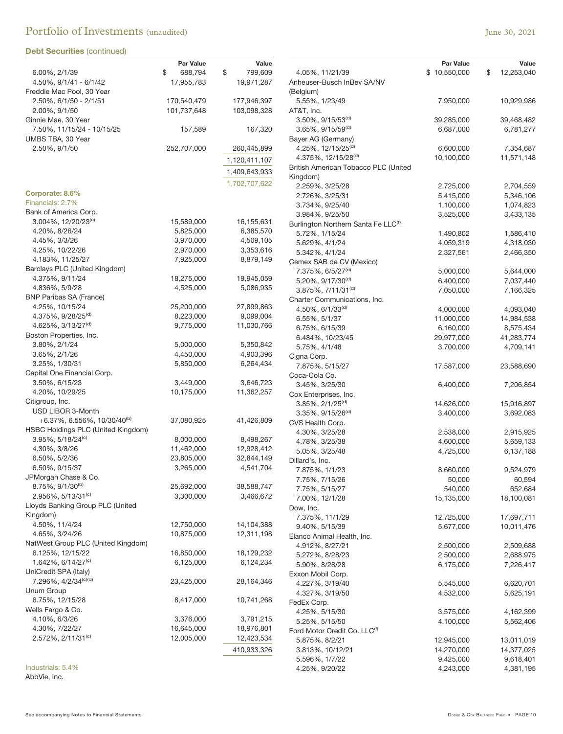**Debt Securities** (continued)

| <b>PUDI OCUMINIUS</b> (COMMINIUM)                 |                            |                          |
|---------------------------------------------------|----------------------------|--------------------------|
|                                                   | Par Value                  | Value                    |
| 6.00%, 2/1/39                                     | \$<br>688,794              | \$<br>799,609            |
| 4.50%, 9/1/41 - 6/1/42                            | 17,955,783                 | 19,971,287               |
| Freddie Mac Pool, 30 Year                         |                            |                          |
| 2.50%, 6/1/50 - 2/1/51<br>2.00%, 9/1/50           | 170,540,479<br>101,737,648 | 177,946,397              |
| Ginnie Mae, 30 Year                               |                            | 103,098,328              |
| 7.50%, 11/15/24 - 10/15/25                        | 157,589                    | 167,320                  |
| UMBS TBA, 30 Year                                 |                            |                          |
| 2.50%, 9/1/50                                     | 252,707,000                | 260,445,899              |
|                                                   |                            |                          |
|                                                   |                            | 1,120,411,107            |
|                                                   |                            | 1,409,643,933            |
|                                                   |                            | 1,702,707,622            |
| Corporate: 8.6%                                   |                            |                          |
| Financials: 2.7%                                  |                            |                          |
| Bank of America Corp.                             |                            |                          |
| $3.004\%$ , 12/20/23 <sup>(c)</sup>               | 15,589,000                 | 16,155,631               |
| 4.20%, 8/26/24                                    | 5,825,000                  | 6,385,570                |
| 4.45%, 3/3/26                                     | 3,970,000                  | 4,509,105                |
| 4.25%, 10/22/26                                   | 2,970,000                  | 3,353,616                |
| 4.183%, 11/25/27<br>Barclays PLC (United Kingdom) | 7,925,000                  | 8,879,149                |
| 4.375%, 9/11/24                                   | 18,275,000                 | 19,945,059               |
| 4.836%, 5/9/28                                    | 4,525,000                  | 5,086,935                |
| <b>BNP Paribas SA (France)</b>                    |                            |                          |
| 4.25%, 10/15/24                                   | 25,200,000                 | 27,899,863               |
| 4.375%, 9/28/25 <sup>(d)</sup>                    | 8,223,000                  | 9,099,004                |
| 4.625%, 3/13/27 <sup>(d)</sup>                    | 9,775,000                  | 11,030,766               |
| Boston Properties, Inc.                           |                            |                          |
| 3.80%, 2/1/24                                     | 5,000,000                  | 5,350,842                |
| 3.65%, 2/1/26                                     | 4,450,000                  | 4,903,396                |
| 3.25%, 1/30/31                                    | 5,850,000                  | 6,264,434                |
| Capital One Financial Corp.                       |                            |                          |
| 3.50%, 6/15/23                                    | 3,449,000                  | 3,646,723                |
| 4.20%, 10/29/25                                   | 10,175,000                 | 11,362,257               |
| Citigroup, Inc.                                   |                            |                          |
| USD LIBOR 3-Month                                 |                            |                          |
| +6.37%, 6.556%, 10/30/40(b)                       | 37,080,925                 | 41,426,809               |
| HSBC Holdings PLC (United Kingdom)                |                            |                          |
| $3.95\%, 5/18/24^{(c)}$<br>4.30%, 3/8/26          | 8,000,000                  | 8,498,267                |
| 6.50%, 5/2/36                                     | 11,462,000<br>23,805,000   | 12,928,412<br>32,844,149 |
| 6.50%, 9/15/37                                    | 3,265,000                  | 4,541,704                |
| JPMorgan Chase & Co                               |                            |                          |
| $8.75\%$ , 9/1/30 <sup>(b)</sup>                  | 25,692,000                 | 38,588,747               |
| 2.956%, 5/13/31(c)                                | 3,300,000                  | 3,466,672                |
| Lloyds Banking Group PLC (United                  |                            |                          |
| Kingdom)                                          |                            |                          |
| 4.50%, 11/4/24                                    | 12,750,000                 | 14,104,388               |
| 4.65%, 3/24/26                                    | 10,875,000                 | 12,311,198               |
| NatWest Group PLC (United Kingdom)                |                            |                          |
| 6.125%, 12/15/22                                  | 16,850,000                 | 18,129,232               |
| 1.642%, 6/14/27 <sup>(c)</sup>                    | 6,125,000                  | 6,124,234                |
| UniCredit SPA (Italy)                             |                            |                          |
| 7.296%, 4/2/34(c)(d)                              | 23,425,000                 | 28,164,346               |
| Unum Group                                        |                            |                          |
| 6.75%, 12/15/28                                   | 8,417,000                  | 10,741,268               |
| Wells Fargo & Co.                                 |                            |                          |
| 4.10%, 6/3/26                                     | 3,376,000                  | 3,791,215                |
| 4.30%, 7/22/27                                    | 16,645,000                 | 18,976,801               |
| $2.572\%$ , $2/11/31(c)$                          | 12,005,000                 | 12,423,534               |
|                                                   |                            | 410,933,326              |
|                                                   |                            |                          |

| Industrials: 5.4% |  |  |  |
|-------------------|--|--|--|
|-------------------|--|--|--|

AbbVie, Inc.



|                                                     | Par Value               | Value                    |
|-----------------------------------------------------|-------------------------|--------------------------|
| 4.05%, 11/21/39                                     | \$10,550,000            | \$<br>12,253,040         |
| Anheuser-Busch InBev SA/NV                          |                         |                          |
| (Belgium)                                           |                         |                          |
| 5.55%, 1/23/49                                      | 7,950,000               | 10,929,986               |
| AT&T, Inc.                                          |                         |                          |
| $3.50\%$ , 9/15/53 <sup>(d)</sup>                   | 39,285,000              | 39,468,482               |
| 3.65%, 9/15/59 <sup>(d)</sup><br>Bayer AG (Germany) | 6,687,000               | 6,781,277                |
| 4.25%, $12/15/25^{(d)}$                             | 6,600,000               | 7,354,687                |
| 4.375%, 12/15/28 <sup>(d)</sup>                     | 10,100,000              | 11,571,148               |
| British American Tobacco PLC (United                |                         |                          |
| Kingdom)                                            |                         |                          |
| 2.259%, 3/25/28                                     | 2,725,000               | 2,704,559                |
| 2.726%, 3/25/31                                     | 5,415,000               | 5,346,106                |
| 3.734%, 9/25/40                                     | 1,100,000               | 1,074,823                |
| 3.984%, 9/25/50                                     | 3,525,000               | 3,433,135                |
| Burlington Northern Santa Fe LLC <sup>(f)</sup>     |                         |                          |
| 5.72%, 1/15/24                                      | 1,490,802               | 1,586,410                |
| 5.629%, 4/1/24                                      | 4,059,319               | 4,318,030                |
| 5.342%, 4/1/24<br>Cemex SAB de CV (Mexico)          | 2,327,561               | 2,466,350                |
| 7.375%, 6/5/27 <sup>(d)</sup>                       | 5,000,000               | 5,644,000                |
| 5.20%, 9/17/30(d)                                   | 6,400,000               | 7,037,440                |
| 3.875%, 7/11/31 <sup>(d)</sup>                      | 7,050,000               | 7,166,325                |
| Charter Communications, Inc.                        |                         |                          |
| 4.50%, 6/1/33 <sup>(d)</sup>                        | 4,000,000               | 4,093,040                |
| 6.55%, 5/1/37                                       | 11,000,000              | 14,984,538               |
| 6.75%, 6/15/39                                      | 6,160,000               | 8,575,434                |
| 6.484%, 10/23/45                                    | 29,977,000              | 41,283,774               |
| 5.75%, 4/1/48                                       | 3,700,000               | 4,709,141                |
| Cigna Corp.                                         |                         |                          |
| 7.875%, 5/15/27                                     | 17,587,000              | 23,588,690               |
| Coca-Cola Co.                                       |                         |                          |
| 3.45%, 3/25/30<br>Cox Enterprises, Inc.             | 6,400,000               | 7,206,854                |
| $3.85\%$ , $2/1/25(d)$                              | 14,626,000              | 15,916,897               |
| 3.35%, 9/15/26(d)                                   | 3,400,000               | 3,692,083                |
| CVS Health Corp.                                    |                         |                          |
| 4.30%, 3/25/28                                      | 2,538,000               | 2,915,925                |
| 4.78%, 3/25/38                                      | 4,600,000               | 5,659,133                |
| 5.05%, 3/25/48                                      | 4,725,000               | 6,137,188                |
| Dillard's, Inc.                                     |                         |                          |
| 7.875%, 1/1/23                                      | 8,660,000               | 9,524,979                |
| 7.75%, 7/15/26                                      | 50,000                  | 60,594                   |
| 7.75%, 5/15/27                                      | 540,000                 | 652,684                  |
| 7.00%, 12/1/28                                      | 15,135,000              | 18,100,081               |
| Dow, Inc.                                           |                         |                          |
| 7.375%, 11/1/29<br>9.40%, 5/15/39                   | 12,725,000<br>5,677,000 | 17,697,711<br>10,011,476 |
| Elanco Animal Health, Inc.                          |                         |                          |
| 4.912%, 8/27/21                                     | 2,500,000               | 2,509,688                |
| 5.272%, 8/28/23                                     | 2,500,000               | 2,688,975                |
| 5.90%, 8/28/28                                      | 6,175,000               | 7,226,417                |
| Exxon Mobil Corp.                                   |                         |                          |
| 4.227%, 3/19/40                                     | 5,545,000               | 6,620,701                |
| 4.327%, 3/19/50                                     | 4,532,000               | 5,625,191                |
| FedEx Corp.                                         |                         |                          |
| 4.25%, 5/15/30                                      | 3,575,000               | 4,162,399                |
| 5.25%, 5/15/50                                      | 4,100,000               | 5,562,406                |
| Ford Motor Credit Co. LLC <sup>(f)</sup>            |                         |                          |
| 5.875%, 8/2/21                                      | 12,945,000              | 13,011,019               |
| 3.813%, 10/12/21                                    | 14,270,000              | 14,377,025               |
| 5.596%, 1/7/22                                      | 9,425,000               | 9,618,401                |
| 4.25%, 9/20/22                                      | 4,243,000               | 4,381,195                |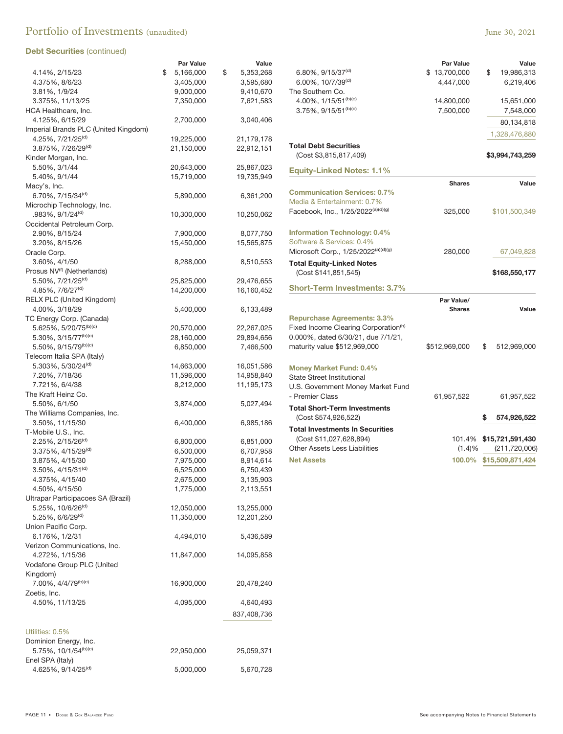**Debt Securities** (continued)

|                                               | <b>Par Value</b>        | Value           |
|-----------------------------------------------|-------------------------|-----------------|
| 4.14%, 2/15/23                                | \$<br>5,166,000         | \$<br>5,353,268 |
| 4.375%, 8/6/23                                | 3,405,000               | 3,595,680       |
| 3.81%, 1/9/24                                 | 9,000,000               | 9,410,670       |
| 3.375%, 11/13/25                              | 7,350,000               | 7,621,583       |
| HCA Healthcare, Inc.                          |                         |                 |
| 4.125%, 6/15/29                               | 2,700,000               | 3,040,406       |
| Imperial Brands PLC (United Kingdom)          |                         |                 |
| 4.25%, 7/21/25 <sup>(d)</sup>                 | 19,225,000              | 21,179,178      |
| 3.875%, 7/26/29(d)                            | 21,150,000              | 22,912,151      |
| Kinder Morgan, Inc.                           |                         |                 |
| 5.50%, 3/1/44                                 | 20,643,000              | 25,867,023      |
| 5.40%, 9/1/44                                 | 15,719,000              | 19,735,949      |
| Macy's, Inc.                                  |                         |                 |
| 6.70%, 7/15/34 <sup>(d)</sup>                 | 5,890,000               | 6,361,200       |
| Microchip Technology, Inc.                    |                         |                 |
| .983%, 9/1/24 <sup>(d)</sup>                  | 10,300,000              | 10,250,062      |
| Occidental Petroleum Corp.                    |                         |                 |
| 2.90%, 8/15/24                                | 7,900,000<br>15,450,000 | 8,077,750       |
| 3.20%, 8/15/26<br>Oracle Corp.                |                         | 15,565,875      |
| 3.60%, 4/1/50                                 | 8,288,000               | 8,510,553       |
| Prosus NV <sup>(f)</sup> (Netherlands)        |                         |                 |
| 5.50%, 7/21/25 <sup>(d)</sup>                 | 25,825,000              | 29,476,655      |
| 4.85%, 7/6/27 <sup>(d)</sup>                  | 14,200,000              | 16,160,452      |
| RELX PLC (United Kingdom)                     |                         |                 |
| 4.00%, 3/18/29                                | 5,400,000               | 6,133,489       |
| TC Energy Corp. (Canada)                      |                         |                 |
| 5.625%, 5/20/75 <sup>(b)(c)</sup>             | 20,570,000              | 22,267,025      |
| 5.30%, 3/15/77 <sup>(b)(c)</sup>              | 28,160,000              | 29,894,656      |
| 5.50%, 9/15/79(b)(c)                          | 6,850,000               | 7,466,500       |
| Telecom Italia SPA (Italy)                    |                         |                 |
| 5.303%, 5/30/24 <sup>(d)</sup>                | 14,663,000              | 16,051,586      |
| 7.20%, 7/18/36                                | 11,596,000              | 14,958,840      |
| 7.721%, 6/4/38                                | 8,212,000               | 11,195,173      |
| The Kraft Heinz Co.                           |                         |                 |
| 5.50%, 6/1/50                                 | 3,874,000               | 5,027,494       |
| The Williams Companies, Inc.                  |                         |                 |
| 3.50%, 11/15/30<br>T-Mobile U.S., Inc.        | 6,400,000               | 6,985,186       |
| 2.25%, 2/15/26 <sup>(d)</sup>                 | 6,800,000               | 6,851,000       |
| 3.375%, 4/15/29 <sup>(d)</sup>                | 6,500,000               | 6,707,958       |
| 3.875%, 4/15/30                               | 7,975,000               | 8,914,614       |
| $3.50\%$ , $4/15/31^{(d)}$                    | 6,525,000               | 6,750,439       |
| 4.375%, 4/15/40                               | 2,675,000               | 3,135,903       |
| 4.50%, 4/15/50                                | 1,775,000               | 2,113,551       |
| Ultrapar Participacoes SA (Brazil)            |                         |                 |
| 5.25%, 10/6/26 <sup>(d)</sup>                 | 12,050,000              | 13,255,000      |
| 5.25%, 6/6/29 <sup>(d)</sup>                  | 11,350,000              | 12,201,250      |
| Union Pacific Corp.                           |                         |                 |
| 6.176%, 1/2/31                                | 4,494,010               | 5,436,589       |
| Verizon Communications, Inc.                  |                         |                 |
| 4.272%, 1/15/36                               | 11,847,000              | 14,095,858      |
| Vodafone Group PLC (United                    |                         |                 |
| Kingdom)                                      |                         |                 |
| 7.00%, 4/4/79(b)(c)                           | 16,900,000              | 20,478,240      |
| Zoetis, Inc.                                  |                         |                 |
| 4.50%, 11/13/25                               | 4,095,000               | 4,640,493       |
|                                               |                         | 837,408,736     |
|                                               |                         |                 |
| Utilities: 0.5%                               |                         |                 |
| Dominion Energy, Inc.<br>5.75%, 10/1/54(b)(c) |                         |                 |
| Enel SPA (Italy)                              | 22,950,000              | 25,059,371      |
| 4.625%, $9/14/25(d)$                          | 5,000,000               | 5,670,728       |
|                                               |                         |                 |

|                                                             | Par Value     | Value             |
|-------------------------------------------------------------|---------------|-------------------|
| $6.80\%$ , 9/15/37 <sup>(d)</sup>                           | \$13,700,000  | \$<br>19,986,313  |
| $6.00\%$ , 10/7/39 <sup>(d)</sup>                           | 4,447,000     | 6,219,406         |
| The Southern Co.                                            |               |                   |
| 4.00%, 1/15/51(b)(c)                                        | 14,800,000    | 15,651,000        |
| $3.75\%$ , 9/15/51 <sup>(b)(c)</sup>                        | 7,500,000     | 7,548,000         |
|                                                             |               | 80,134,818        |
|                                                             |               | 1,328,476,880     |
| <b>Total Debt Securities</b>                                |               |                   |
| (Cost \$3,815,817,409)                                      |               | \$3,994,743,259   |
| <b>Equity-Linked Notes: 1.1%</b>                            |               |                   |
|                                                             | <b>Shares</b> | Value             |
| <b>Communication Services: 0.7%</b>                         |               |                   |
| Media & Entertainment: 0.7%                                 |               |                   |
| Facebook, Inc., 1/25/2022 <sup>(a)(d)(g)</sup>              | 325,000       | \$101,500,349     |
| <b>Information Technology: 0.4%</b>                         |               |                   |
| Software & Services: 0.4%                                   |               |                   |
| Microsoft Corp., 1/25/2022(a)(d)(g)                         | 280,000       | 67,049,828        |
| <b>Total Equity-Linked Notes</b>                            |               |                   |
| (Cost \$141,851,545)                                        |               | \$168,550,177     |
| <b>Short-Term Investments: 3.7%</b>                         |               |                   |
|                                                             | Par Value/    |                   |
|                                                             | <b>Shares</b> | Value             |
| <b>Repurchase Agreements: 3.3%</b>                          |               |                   |
| Fixed Income Clearing Corporation <sup>(h)</sup>            |               |                   |
| 0.000%, dated 6/30/21, due 7/1/21,                          |               |                   |
| maturity value \$512,969,000                                | \$512,969,000 | \$<br>512,969,000 |
|                                                             |               |                   |
| <b>Money Market Fund: 0.4%</b>                              |               |                   |
| <b>State Street Institutional</b>                           |               |                   |
| U.S. Government Money Market Fund                           |               |                   |
| - Premier Class                                             | 61,957,522    | 61,957,522        |
| <b>Total Short-Term Investments</b><br>(Cost \$574,926,522) |               | s<br>574,926,522  |
| <b>Total Investments In Securities</b>                      |               |                   |
| (Cost \$11,027,628,894)                                     | 101.4%        | \$15,721,591,430  |
| <b>Other Assets Less Liabilities</b>                        | (1.4)%        | (211, 720, 006)   |
|                                                             |               |                   |
| <b>Net Assets</b>                                           | 100.0%        | \$15,509,871,424  |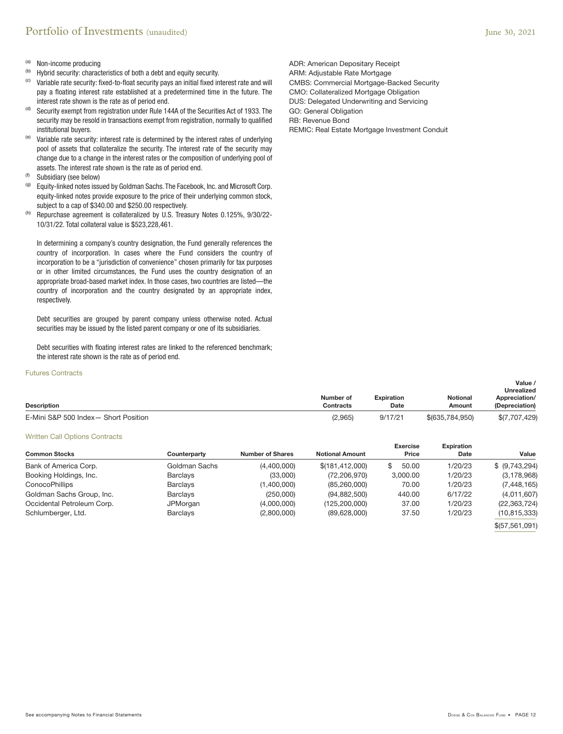- (a) Non-income producing<br>(b) Hybrid cocurity: character
- (b) Hybrid security: characteristics of both a debt and equity security.<br>(c) Variable rate security: fixed to float security pave an initial fixed in
- Variable rate security: fixed-to-float security pays an initial fixed interest rate and will pay a floating interest rate established at a predetermined time in the future. The interest rate shown is the rate as of period end.
- (d) Security exempt from registration under Rule 144A of the Securities Act of 1933. The security may be resold in transactions exempt from registration, normally to qualified institutional buyers.
- (e) Variable rate security: interest rate is determined by the interest rates of underlying pool of assets that collateralize the security. The interest rate of the security may change due to a change in the interest rates or the composition of underlying pool of assets. The interest rate shown is the rate as of period end.
- (f) Subsidiary (see below)
- (g) Equity-linked notes issued by Goldman Sachs. The Facebook, Inc. and Microsoft Corp. equity-linked notes provide exposure to the price of their underlying common stock, subject to a cap of \$340.00 and \$250.00 respectively.
- (h) Repurchase agreement is collateralized by U.S. Treasury Notes 0.125%, 9/30/22-10/31/22. Total collateral value is \$523,228,461.

In determining a company's country designation, the Fund generally references the country of incorporation. In cases where the Fund considers the country of incorporation to be a "jurisdiction of convenience" chosen primarily for tax purposes or in other limited circumstances, the Fund uses the country designation of an appropriate broad-based market index. In those cases, two countries are listed—the country of incorporation and the country designated by an appropriate index, respectively.

Debt securities are grouped by parent company unless otherwise noted. Actual securities may be issued by the listed parent company or one of its subsidiaries.

Debt securities with floating interest rates are linked to the referenced benchmark; the interest rate shown is the rate as of period end.

Futures Contracts

| <b>Description</b>                    | Number of<br>Contracts | Expiration<br>Date | <b>Notional</b><br>Amount | Value /<br><b>Unrealized</b><br>Appreciation/<br>(Depreciation) |
|---------------------------------------|------------------------|--------------------|---------------------------|-----------------------------------------------------------------|
| E-Mini S&P 500 Index- Short Position  | (2,965)                | 9/17/21            | \$(635,784,950)           | \$(7,707,429)                                                   |
| <b>Written Call Options Contracts</b> |                        |                    |                           |                                                                 |

| <b>Common Stocks</b>       | Counterparty    | <b>Number of Shares</b> | <b>Notional Amount</b> | <b>Exercise</b><br>Price | <b>Expiration</b><br>Date | Value          |
|----------------------------|-----------------|-------------------------|------------------------|--------------------------|---------------------------|----------------|
| Bank of America Corp.      | Goldman Sachs   | (4.400.000)             | \$(181, 412, 000)      | 50.00                    | 1/20/23                   | \$ (9,743,294) |
| Booking Holdings, Inc.     | Barclays        | (33,000)                | (72.206.970)           | 3,000.00                 | 1/20/23                   | (3, 178, 968)  |
| ConocoPhillips             | Barclays        | (1,400,000)             | (85, 260, 000)         | 70.00                    | 1/20/23                   | (7, 448, 165)  |
| Goldman Sachs Group, Inc.  | Barclays        | (250.000)               | (94.882.500)           | 440.00                   | 6/17/22                   | (4,011,607)    |
| Occidental Petroleum Corp. | <b>JPMorgan</b> | (4.000.000)             | (125.200.000)          | 37.00                    | 1/20/23                   | (22, 363, 724) |
| Schlumberger, Ltd.         | Barclays        | (2,800,000)             | (89,628,000)           | 37.50                    | 1/20/23                   | (10, 815, 333) |

\$(57,561,091)

- ADR: American Depositary Receipt
- ARM: Adjustable Rate Mortgage
- CMBS: Commercial Mortgage-Backed Security

CMO: Collateralized Mortgage Obligation

DUS: Delegated Underwriting and Servicing

GO: General Obligation

RB: Revenue Bond

REMIC: Real Estate Mortgage Investment Conduit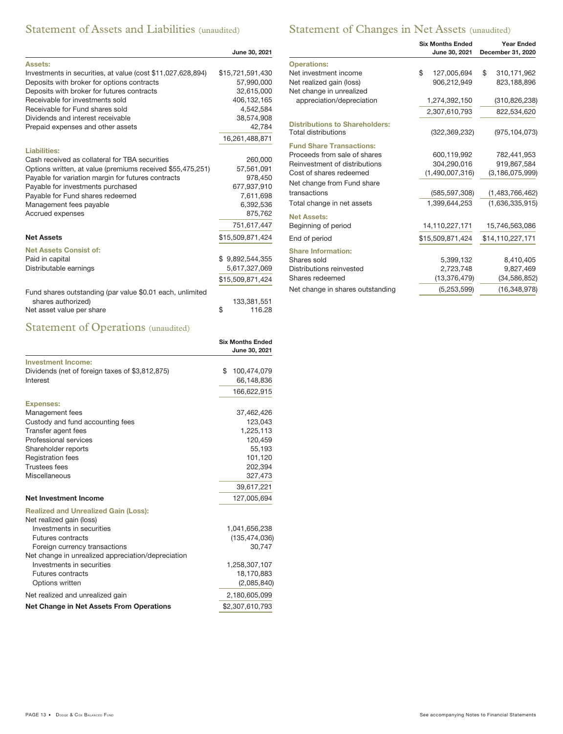### Statement of Assets and Liabilities (unaudited)

### Statement of Changes in Net Assets (unaudited)

|                                                             | June 30, 2021    |
|-------------------------------------------------------------|------------------|
| <b>Assets:</b>                                              |                  |
| Investments in securities, at value (cost \$11,027,628,894) | \$15,721,591,430 |
| Deposits with broker for options contracts                  | 57,990,000       |
| Deposits with broker for futures contracts                  | 32,615,000       |
| Receivable for investments sold                             | 406,132,165      |
| Receivable for Fund shares sold                             | 4,542,584        |
| Dividends and interest receivable                           | 38,574,908       |
| Prepaid expenses and other assets                           | 42,784           |
|                                                             | 16,261,488,871   |
| Liabilities:                                                |                  |
| Cash received as collateral for TBA securities              | 260,000          |
| Options written, at value (premiums received \$55,475,251)  | 57,561,091       |
| Payable for variation margin for futures contracts          | 978,450          |
| Payable for investments purchased                           | 677,937,910      |
| Payable for Fund shares redeemed                            | 7,611,698        |
| Management fees payable                                     | 6,392,536        |
| Accrued expenses                                            | 875,762          |
|                                                             | 751,617,447      |
| <b>Net Assets</b>                                           | \$15,509,871,424 |
| <b>Net Assets Consist of:</b>                               |                  |
| Paid in capital                                             | \$9,892,544,355  |
| Distributable earnings                                      | 5,617,327,069    |
|                                                             | \$15,509,871,424 |
| Fund shares outstanding (par value \$0.01 each, unlimited   |                  |
| shares authorized)                                          | 133,381,551      |
| Net asset value per share                                   | \$<br>116.28     |

### Statement of Operations (unaudited)

|                                                                         | <b>Six Months Ended</b><br>June 30, 2021 |
|-------------------------------------------------------------------------|------------------------------------------|
| <b>Investment Income:</b>                                               |                                          |
| Dividends (net of foreign taxes of \$3,812,875)                         | \$.<br>100,474,079                       |
| Interest                                                                | 66,148,836                               |
|                                                                         | 166,622,915                              |
| <b>Expenses:</b>                                                        |                                          |
| Management fees                                                         | 37,462,426                               |
| Custody and fund accounting fees                                        | 123,043                                  |
| Transfer agent fees                                                     | 1,225,113                                |
| Professional services                                                   | 120,459                                  |
| Shareholder reports                                                     | 55,193                                   |
| Registration fees                                                       | 101,120                                  |
| <b>Trustees fees</b>                                                    | 202,394                                  |
| Miscellaneous                                                           | 327,473                                  |
|                                                                         | 39,617,221                               |
| Net Investment Income                                                   | 127,005,694                              |
| <b>Realized and Unrealized Gain (Loss):</b><br>Net realized gain (loss) |                                          |
| Investments in securities                                               | 1,041,656,238                            |
| <b>Futures contracts</b>                                                | (135, 474, 036)                          |
| Foreign currency transactions                                           | 30.747                                   |
| Net change in unrealized appreciation/depreciation                      |                                          |
| Investments in securities                                               | 1,258,307,107                            |
| <b>Futures contracts</b>                                                | 18,170,883                               |
| Options written                                                         | (2,085,840)                              |
| Net realized and unrealized gain                                        | 2,180,605,099                            |
| <b>Net Change in Net Assets From Operations</b>                         | \$2,307,610,793                          |

|                                                              | <b>Six Months Ended</b><br>June 30, 2021 | <b>Year Ended</b><br>December 31, 2020 |
|--------------------------------------------------------------|------------------------------------------|----------------------------------------|
| <b>Operations:</b>                                           |                                          |                                        |
| Net investment income                                        | \$<br>127,005,694                        | \$<br>310,171,962                      |
| Net realized gain (loss)                                     | 906,212,949                              | 823,188,896                            |
| Net change in unrealized                                     |                                          |                                        |
| appreciation/depreciation                                    | 1,274,392,150                            | (310, 826, 238)                        |
|                                                              | 2.307.610.793                            | 822,534,620                            |
| <b>Distributions to Shareholders:</b><br>Total distributions | (322, 369, 232)                          | (975, 104, 073)                        |
| <b>Fund Share Transactions:</b>                              |                                          |                                        |
| Proceeds from sale of shares                                 | 600,119,992                              | 782,441,953                            |
| Reinvestment of distributions                                | 304,290,016                              | 919,867,584                            |
| Cost of shares redeemed                                      | (1,490,007,316)                          | (3, 186, 075, 999)                     |
| Net change from Fund share                                   |                                          |                                        |
| transactions                                                 | (585, 597, 308)                          | (1,483,766,462)                        |
| Total change in net assets                                   | 1,399,644,253                            | (1,636,335,915)                        |
| <b>Net Assets:</b>                                           |                                          |                                        |
| Beginning of period                                          | 14,110,227,171                           | 15,746,563,086                         |
| End of period                                                | \$15,509,871,424                         | \$14,110,227,171                       |
| <b>Share Information:</b>                                    |                                          |                                        |
| Shares sold                                                  | 5,399,132                                | 8,410,405                              |
| Distributions reinvested                                     | 2,723,748                                | 9,827,469                              |
| Shares redeemed                                              | (13, 376, 479)                           | (34, 586, 852)                         |
| Net change in shares outstanding                             | (5,253,599)                              | (16, 348, 978)                         |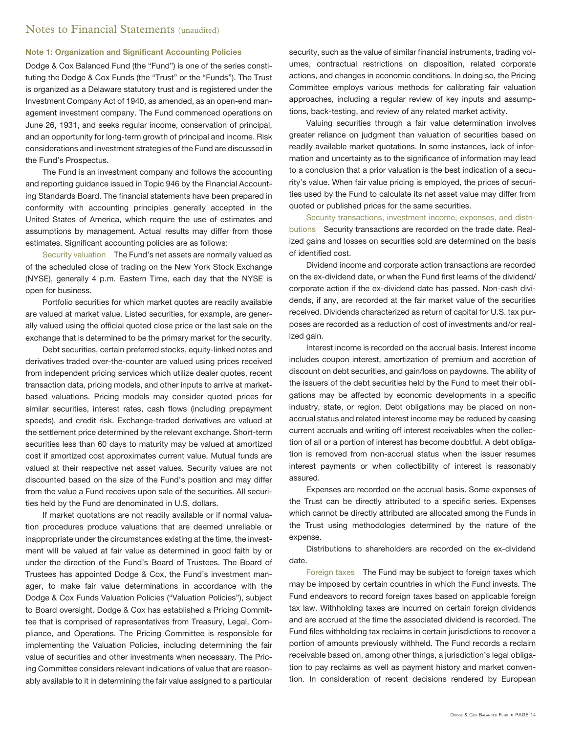### **Note 1: Organization and Significant Accounting Policies**

Dodge & Cox Balanced Fund (the "Fund") is one of the series constituting the Dodge & Cox Funds (the "Trust" or the "Funds"). The Trust is organized as a Delaware statutory trust and is registered under the Investment Company Act of 1940, as amended, as an open-end management investment company. The Fund commenced operations on June 26, 1931, and seeks regular income, conservation of principal, and an opportunity for long-term growth of principal and income. Risk considerations and investment strategies of the Fund are discussed in the Fund's Prospectus.

The Fund is an investment company and follows the accounting and reporting guidance issued in Topic 946 by the Financial Accounting Standards Board. The financial statements have been prepared in conformity with accounting principles generally accepted in the United States of America, which require the use of estimates and assumptions by management. Actual results may differ from those estimates. Significant accounting policies are as follows:

Security valuation The Fund's net assets are normally valued as of the scheduled close of trading on the New York Stock Exchange (NYSE), generally 4 p.m. Eastern Time, each day that the NYSE is open for business.

Portfolio securities for which market quotes are readily available are valued at market value. Listed securities, for example, are generally valued using the official quoted close price or the last sale on the exchange that is determined to be the primary market for the security.

Debt securities, certain preferred stocks, equity-linked notes and derivatives traded over-the-counter are valued using prices received from independent pricing services which utilize dealer quotes, recent transaction data, pricing models, and other inputs to arrive at marketbased valuations. Pricing models may consider quoted prices for similar securities, interest rates, cash flows (including prepayment speeds), and credit risk. Exchange-traded derivatives are valued at the settlement price determined by the relevant exchange. Short-term securities less than 60 days to maturity may be valued at amortized cost if amortized cost approximates current value. Mutual funds are valued at their respective net asset values. Security values are not discounted based on the size of the Fund's position and may differ from the value a Fund receives upon sale of the securities. All securities held by the Fund are denominated in U.S. dollars.

If market quotations are not readily available or if normal valuation procedures produce valuations that are deemed unreliable or inappropriate under the circumstances existing at the time, the investment will be valued at fair value as determined in good faith by or under the direction of the Fund's Board of Trustees. The Board of Trustees has appointed Dodge & Cox, the Fund's investment manager, to make fair value determinations in accordance with the Dodge & Cox Funds Valuation Policies ("Valuation Policies"), subject to Board oversight. Dodge & Cox has established a Pricing Committee that is comprised of representatives from Treasury, Legal, Compliance, and Operations. The Pricing Committee is responsible for implementing the Valuation Policies, including determining the fair value of securities and other investments when necessary. The Pricing Committee considers relevant indications of value that are reasonably available to it in determining the fair value assigned to a particular security, such as the value of similar financial instruments, trading volumes, contractual restrictions on disposition, related corporate actions, and changes in economic conditions. In doing so, the Pricing Committee employs various methods for calibrating fair valuation approaches, including a regular review of key inputs and assumptions, back-testing, and review of any related market activity.

Valuing securities through a fair value determination involves greater reliance on judgment than valuation of securities based on readily available market quotations. In some instances, lack of information and uncertainty as to the significance of information may lead to a conclusion that a prior valuation is the best indication of a security's value. When fair value pricing is employed, the prices of securities used by the Fund to calculate its net asset value may differ from quoted or published prices for the same securities.

Security transactions, investment income, expenses, and distributions Security transactions are recorded on the trade date. Realized gains and losses on securities sold are determined on the basis of identified cost.

Dividend income and corporate action transactions are recorded on the ex-dividend date, or when the Fund first learns of the dividend/ corporate action if the ex-dividend date has passed. Non-cash dividends, if any, are recorded at the fair market value of the securities received. Dividends characterized as return of capital for U.S. tax purposes are recorded as a reduction of cost of investments and/or realized gain.

Interest income is recorded on the accrual basis. Interest income includes coupon interest, amortization of premium and accretion of discount on debt securities, and gain/loss on paydowns. The ability of the issuers of the debt securities held by the Fund to meet their obligations may be affected by economic developments in a specific industry, state, or region. Debt obligations may be placed on nonaccrual status and related interest income may be reduced by ceasing current accruals and writing off interest receivables when the collection of all or a portion of interest has become doubtful. A debt obligation is removed from non-accrual status when the issuer resumes interest payments or when collectibility of interest is reasonably assured.

Expenses are recorded on the accrual basis. Some expenses of the Trust can be directly attributed to a specific series. Expenses which cannot be directly attributed are allocated among the Funds in the Trust using methodologies determined by the nature of the expense.

Distributions to shareholders are recorded on the ex-dividend date.

Foreign taxes The Fund may be subject to foreign taxes which may be imposed by certain countries in which the Fund invests. The Fund endeavors to record foreign taxes based on applicable foreign tax law. Withholding taxes are incurred on certain foreign dividends and are accrued at the time the associated dividend is recorded. The Fund files withholding tax reclaims in certain jurisdictions to recover a portion of amounts previously withheld. The Fund records a reclaim receivable based on, among other things, a jurisdiction's legal obligation to pay reclaims as well as payment history and market convention. In consideration of recent decisions rendered by European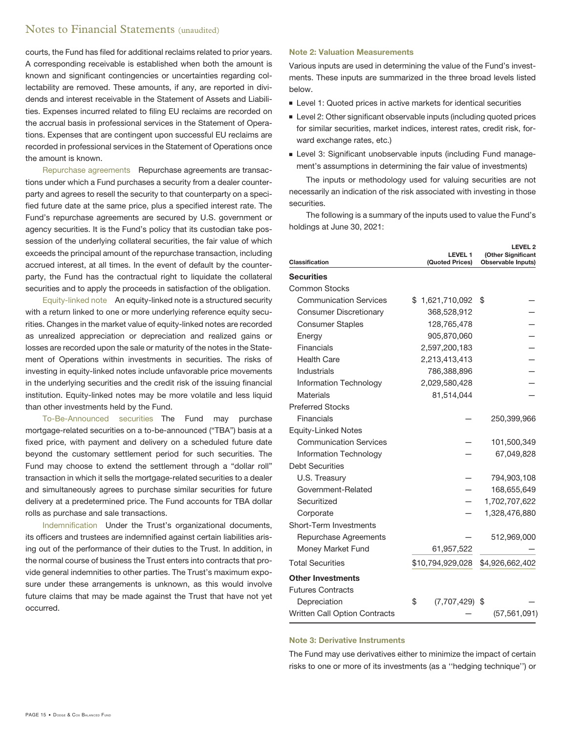courts, the Fund has filed for additional reclaims related to prior years. A corresponding receivable is established when both the amount is known and significant contingencies or uncertainties regarding collectability are removed. These amounts, if any, are reported in dividends and interest receivable in the Statement of Assets and Liabilities. Expenses incurred related to filing EU reclaims are recorded on the accrual basis in professional services in the Statement of Operations. Expenses that are contingent upon successful EU reclaims are recorded in professional services in the Statement of Operations once the amount is known.

Repurchase agreements Repurchase agreements are transactions under which a Fund purchases a security from a dealer counterparty and agrees to resell the security to that counterparty on a specified future date at the same price, plus a specified interest rate. The Fund's repurchase agreements are secured by U.S. government or agency securities. It is the Fund's policy that its custodian take possession of the underlying collateral securities, the fair value of which exceeds the principal amount of the repurchase transaction, including accrued interest, at all times. In the event of default by the counterparty, the Fund has the contractual right to liquidate the collateral securities and to apply the proceeds in satisfaction of the obligation.

Equity-linked note An equity-linked note is a structured security with a return linked to one or more underlying reference equity securities. Changes in the market value of equity-linked notes are recorded as unrealized appreciation or depreciation and realized gains or losses are recorded upon the sale or maturity of the notes in the Statement of Operations within investments in securities. The risks of investing in equity-linked notes include unfavorable price movements in the underlying securities and the credit risk of the issuing financial institution. Equity-linked notes may be more volatile and less liquid than other investments held by the Fund.

To-Be-Announced securities The Fund may purchase mortgage-related securities on a to-be-announced ("TBA") basis at a fixed price, with payment and delivery on a scheduled future date beyond the customary settlement period for such securities. The Fund may choose to extend the settlement through a "dollar roll" transaction in which it sells the mortgage-related securities to a dealer and simultaneously agrees to purchase similar securities for future delivery at a predetermined price. The Fund accounts for TBA dollar rolls as purchase and sale transactions.

Indemnification Under the Trust's organizational documents, its officers and trustees are indemnified against certain liabilities arising out of the performance of their duties to the Trust. In addition, in the normal course of business the Trust enters into contracts that provide general indemnities to other parties. The Trust's maximum exposure under these arrangements is unknown, as this would involve future claims that may be made against the Trust that have not yet occurred.

### **Note 2: Valuation Measurements**

Various inputs are used in determining the value of the Fund's investments. These inputs are summarized in the three broad levels listed below.

- **Example 1: Quoted prices in active markets for identical securities**
- Level 2: Other significant observable inputs (including quoted prices for similar securities, market indices, interest rates, credit risk, forward exchange rates, etc.)
- **Level 3: Significant unobservable inputs (including Fund manage**ment's assumptions in determining the fair value of investments)

The inputs or methodology used for valuing securities are not necessarily an indication of the risk associated with investing in those securities.

The following is a summary of the inputs used to value the Fund's holdings at June 30, 2021:

| Classification                | <b>LEVEL 1</b><br>(Quoted Prices) | LEVEL <sub>2</sub><br>(Other Significant<br>Observable Inputs) |
|-------------------------------|-----------------------------------|----------------------------------------------------------------|
| <b>Securities</b>             |                                   |                                                                |
| <b>Common Stocks</b>          |                                   |                                                                |
| <b>Communication Services</b> | \$1,621,710,092                   | \$                                                             |
| <b>Consumer Discretionary</b> | 368,528,912                       |                                                                |
| <b>Consumer Staples</b>       | 128,765,478                       |                                                                |
| Energy                        | 905,870,060                       |                                                                |
| Financials                    | 2,597,200,183                     |                                                                |
| <b>Health Care</b>            | 2,213,413,413                     |                                                                |
| Industrials                   | 786,388,896                       |                                                                |
| Information Technology        | 2,029,580,428                     |                                                                |
| <b>Materials</b>              | 81,514,044                        |                                                                |
| <b>Preferred Stocks</b>       |                                   |                                                                |
| Financials                    |                                   | 250,399,966                                                    |
| <b>Equity-Linked Notes</b>    |                                   |                                                                |
| <b>Communication Services</b> |                                   | 101,500,349                                                    |
| Information Technology        |                                   | 67,049,828                                                     |
| <b>Debt Securities</b>        |                                   |                                                                |
| U.S. Treasury                 |                                   | 794,903,108                                                    |
| Government-Related            |                                   | 168,655,649                                                    |
| Securitized                   |                                   | 1,702,707,622                                                  |
| Corporate                     |                                   | 1,328,476,880                                                  |
| Short-Term Investments        |                                   |                                                                |
| Repurchase Agreements         |                                   | 512,969,000                                                    |
| Money Market Fund             | 61,957,522                        |                                                                |
| <b>Total Securities</b>       | \$10,794,929,028                  | \$4,926,662,402                                                |
| <b>Other Investments</b>      |                                   |                                                                |
| <b>Futures Contracts</b>      |                                   |                                                                |
| Depreciation                  | \$<br>(7,707,429)                 | - \$                                                           |
| Written Call Option Contracts |                                   | (57, 561, 091)                                                 |

#### **Note 3: Derivative Instruments**

The Fund may use derivatives either to minimize the impact of certain risks to one or more of its investments (as a ''hedging technique'') or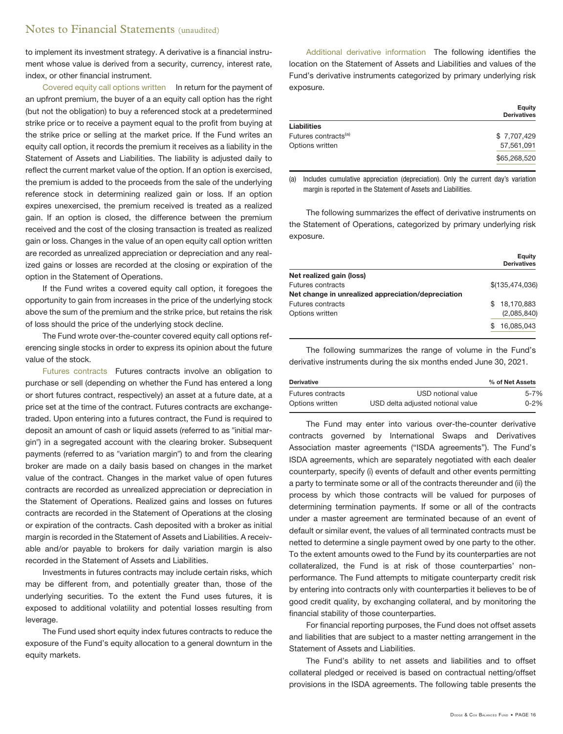to implement its investment strategy. A derivative is a financial instrument whose value is derived from a security, currency, interest rate, index, or other financial instrument.

Covered equity call options written In return for the payment of an upfront premium, the buyer of a an equity call option has the right (but not the obligation) to buy a referenced stock at a predetermined strike price or to receive a payment equal to the profit from buying at the strike price or selling at the market price. If the Fund writes an equity call option, it records the premium it receives as a liability in the Statement of Assets and Liabilities. The liability is adjusted daily to reflect the current market value of the option. If an option is exercised, the premium is added to the proceeds from the sale of the underlying reference stock in determining realized gain or loss. If an option expires unexercised, the premium received is treated as a realized gain. If an option is closed, the difference between the premium received and the cost of the closing transaction is treated as realized gain or loss. Changes in the value of an open equity call option written are recorded as unrealized appreciation or depreciation and any realized gains or losses are recorded at the closing or expiration of the option in the Statement of Operations.

If the Fund writes a covered equity call option, it foregoes the opportunity to gain from increases in the price of the underlying stock above the sum of the premium and the strike price, but retains the risk of loss should the price of the underlying stock decline.

The Fund wrote over-the-counter covered equity call options referencing single stocks in order to express its opinion about the future value of the stock.

Futures contracts Futures contracts involve an obligation to purchase or sell (depending on whether the Fund has entered a long or short futures contract, respectively) an asset at a future date, at a price set at the time of the contract. Futures contracts are exchangetraded. Upon entering into a futures contract, the Fund is required to deposit an amount of cash or liquid assets (referred to as "initial margin") in a segregated account with the clearing broker. Subsequent payments (referred to as "variation margin") to and from the clearing broker are made on a daily basis based on changes in the market value of the contract. Changes in the market value of open futures contracts are recorded as unrealized appreciation or depreciation in the Statement of Operations. Realized gains and losses on futures contracts are recorded in the Statement of Operations at the closing or expiration of the contracts. Cash deposited with a broker as initial margin is recorded in the Statement of Assets and Liabilities. A receivable and/or payable to brokers for daily variation margin is also recorded in the Statement of Assets and Liabilities.

Investments in futures contracts may include certain risks, which may be different from, and potentially greater than, those of the underlying securities. To the extent the Fund uses futures, it is exposed to additional volatility and potential losses resulting from leverage.

The Fund used short equity index futures contracts to reduce the exposure of the Fund's equity allocation to a general downturn in the equity markets.

Additional derivative information The following identifies the location on the Statement of Assets and Liabilities and values of the Fund's derivative instruments categorized by primary underlying risk exposure.

|                                  | Equity<br><b>Derivatives</b> |
|----------------------------------|------------------------------|
| <b>Liabilities</b>               |                              |
| Futures contracts <sup>(a)</sup> | \$7,707,429                  |
| Options written                  | 57,561,091                   |
|                                  | \$65,268,520                 |

(a) Includes cumulative appreciation (depreciation). Only the current day's variation margin is reported in the Statement of Assets and Liabilities.

The following summarizes the effect of derivative instruments on the Statement of Operations, categorized by primary underlying risk exposure.

|                                                    | Equity<br><b>Derivatives</b> |
|----------------------------------------------------|------------------------------|
| Net realized gain (loss)                           |                              |
| <b>Futures contracts</b>                           | \$(135, 474, 036)            |
| Net change in unrealized appreciation/depreciation |                              |
| <b>Futures contracts</b>                           | 18.170.883                   |
| Options written                                    | (2,085,840)                  |
|                                                    | 16.085.043                   |

The following summarizes the range of volume in the Fund's derivative instruments during the six months ended June 30, 2021.

| <b>Derivative</b>        |                                   | % of Net Assets |
|--------------------------|-----------------------------------|-----------------|
| <b>Futures contracts</b> | USD notional value                | $5 - 7%$        |
| Options written          | USD delta adjusted notional value | $0 - 2\%$       |

The Fund may enter into various over-the-counter derivative contracts governed by International Swaps and Derivatives Association master agreements ("ISDA agreements"). The Fund's ISDA agreements, which are separately negotiated with each dealer counterparty, specify (i) events of default and other events permitting a party to terminate some or all of the contracts thereunder and (ii) the process by which those contracts will be valued for purposes of determining termination payments. If some or all of the contracts under a master agreement are terminated because of an event of default or similar event, the values of all terminated contracts must be netted to determine a single payment owed by one party to the other. To the extent amounts owed to the Fund by its counterparties are not collateralized, the Fund is at risk of those counterparties' nonperformance. The Fund attempts to mitigate counterparty credit risk by entering into contracts only with counterparties it believes to be of good credit quality, by exchanging collateral, and by monitoring the financial stability of those counterparties.

For financial reporting purposes, the Fund does not offset assets and liabilities that are subject to a master netting arrangement in the Statement of Assets and Liabilities.

The Fund's ability to net assets and liabilities and to offset collateral pledged or received is based on contractual netting/offset provisions in the ISDA agreements. The following table presents the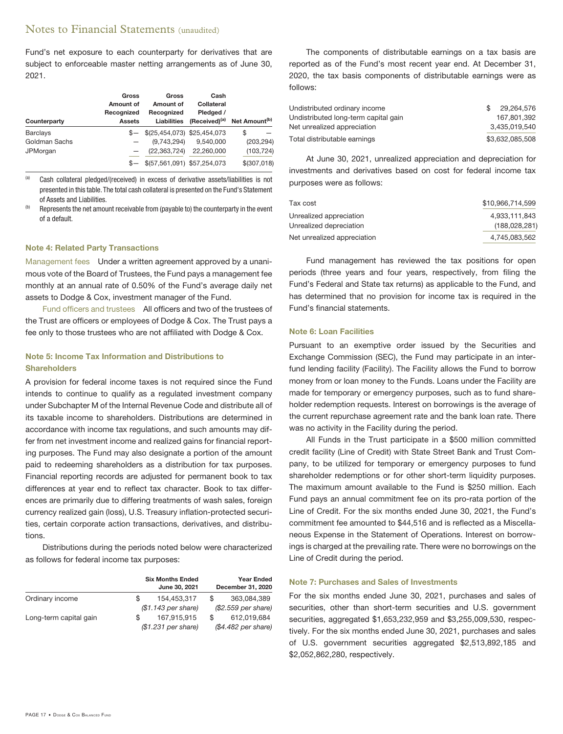Fund's net exposure to each counterparty for derivatives that are subject to enforceable master netting arrangements as of June 30, 2021.

|                 | Gross<br>Amount of<br>Recognized | Gross<br>Amount of<br>Recognized | Cash<br><b>Collateral</b><br>Pledged / |                           |
|-----------------|----------------------------------|----------------------------------|----------------------------------------|---------------------------|
| Counterparty    | Assets                           | Liabilities                      | (Received) <sup>(a)</sup>              | Net Amount <sup>(b)</sup> |
| <b>Barclays</b> |                                  | $$-$ \$(25,454,073) \$25,454,073 |                                        | \$                        |
| Goldman Sachs   |                                  | (9.743.294)                      | 9.540.000                              | (203, 294)                |
| JPMorgan        |                                  | (22, 363, 724)                   | 22,260,000                             | (103, 724)                |
|                 |                                  | \$(57,561,091) \$57,254,073      |                                        | \$ (307,018)              |

 $(a)$  Cash collateral pledged/(received) in excess of derivative assets/liabilities is not presented in this table.The total cash collateral is presented on the Fund's Statement of Assets and Liabilities.

(b) Represents the net amount receivable from (payable to) the counterparty in the event of a default.

#### **Note 4: Related Party Transactions**

Management fees Under a written agreement approved by a unanimous vote of the Board of Trustees, the Fund pays a management fee monthly at an annual rate of 0.50% of the Fund's average daily net assets to Dodge & Cox, investment manager of the Fund.

Fund officers and trustees All officers and two of the trustees of the Trust are officers or employees of Dodge & Cox. The Trust pays a fee only to those trustees who are not affiliated with Dodge & Cox.

### **Note 5: Income Tax Information and Distributions to Shareholders**

A provision for federal income taxes is not required since the Fund intends to continue to qualify as a regulated investment company under Subchapter M of the Internal Revenue Code and distribute all of its taxable income to shareholders. Distributions are determined in accordance with income tax regulations, and such amounts may differ from net investment income and realized gains for financial reporting purposes. The Fund may also designate a portion of the amount paid to redeeming shareholders as a distribution for tax purposes. Financial reporting records are adjusted for permanent book to tax differences at year end to reflect tax character. Book to tax differences are primarily due to differing treatments of wash sales, foreign currency realized gain (loss), U.S. Treasury inflation-protected securities, certain corporate action transactions, derivatives, and distributions.

Distributions during the periods noted below were characterized as follows for federal income tax purposes:

|                        | <b>Six Months Ended</b><br>June 30, 2021 | <b>Year Ended</b><br>December 31, 2020 |                       |  |
|------------------------|------------------------------------------|----------------------------------------|-----------------------|--|
| Ordinary income        | 154,453,317                              | \$                                     | 363,084,389           |  |
|                        | $$1.143$ per share)                      |                                        | $(\$2.559$ per share) |  |
| Long-term capital gain | 167.915.915                              | S                                      | 612,019,684           |  |
|                        | $$1.231$ per share)                      |                                        | $($4.482$ per share)  |  |

The components of distributable earnings on a tax basis are reported as of the Fund's most recent year end. At December 31, 2020, the tax basis components of distributable earnings were as follows:

| Undistributed ordinarv income        | 29.264.576      |
|--------------------------------------|-----------------|
| Undistributed long-term capital gain | 167.801.392     |
| Net unrealized appreciation          | 3.435.019.540   |
| Total distributable earnings         | \$3.632.085.508 |

At June 30, 2021, unrealized appreciation and depreciation for investments and derivatives based on cost for federal income tax purposes were as follows:

| Tax cost                    | \$10,966,714,599 |  |  |
|-----------------------------|------------------|--|--|
| Unrealized appreciation     | 4.933.111.843    |  |  |
| Unrealized depreciation     | (188, 028, 281)  |  |  |
| Net unrealized appreciation | 4,745,083,562    |  |  |

Fund management has reviewed the tax positions for open periods (three years and four years, respectively, from filing the Fund's Federal and State tax returns) as applicable to the Fund, and has determined that no provision for income tax is required in the Fund's financial statements.

#### **Note 6: Loan Facilities**

Pursuant to an exemptive order issued by the Securities and Exchange Commission (SEC), the Fund may participate in an interfund lending facility (Facility). The Facility allows the Fund to borrow money from or loan money to the Funds. Loans under the Facility are made for temporary or emergency purposes, such as to fund shareholder redemption requests. Interest on borrowings is the average of the current repurchase agreement rate and the bank loan rate. There was no activity in the Facility during the period.

All Funds in the Trust participate in a \$500 million committed credit facility (Line of Credit) with State Street Bank and Trust Company, to be utilized for temporary or emergency purposes to fund shareholder redemptions or for other short-term liquidity purposes. The maximum amount available to the Fund is \$250 million. Each Fund pays an annual commitment fee on its pro-rata portion of the Line of Credit. For the six months ended June 30, 2021, the Fund's commitment fee amounted to \$44,516 and is reflected as a Miscellaneous Expense in the Statement of Operations. Interest on borrowings is charged at the prevailing rate. There were no borrowings on the Line of Credit during the period.

#### **Note 7: Purchases and Sales of Investments**

For the six months ended June 30, 2021, purchases and sales of securities, other than short-term securities and U.S. government securities, aggregated \$1,653,232,959 and \$3,255,009,530, respectively. For the six months ended June 30, 2021, purchases and sales of U.S. government securities aggregated \$2,513,892,185 and \$2,052,862,280, respectively.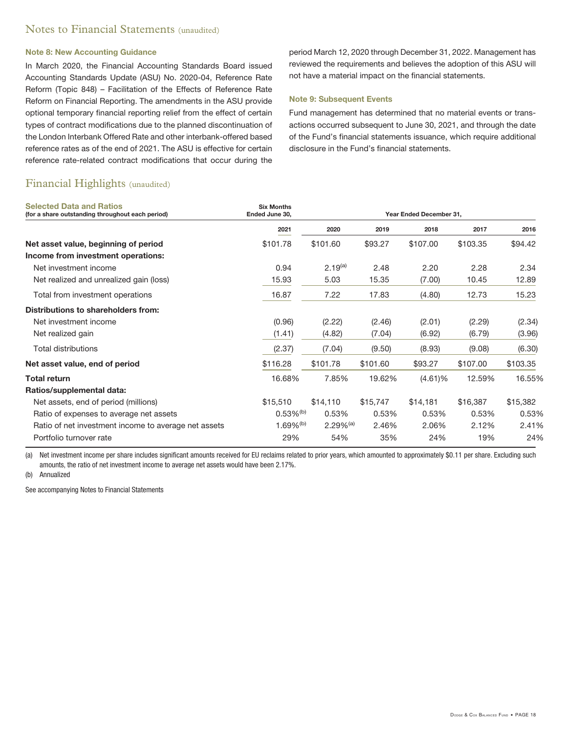#### **Note 8: New Accounting Guidance**

In March 2020, the Financial Accounting Standards Board issued Accounting Standards Update (ASU) No. 2020-04, Reference Rate Reform (Topic 848) – Facilitation of the Effects of Reference Rate Reform on Financial Reporting. The amendments in the ASU provide optional temporary financial reporting relief from the effect of certain types of contract modifications due to the planned discontinuation of the London Interbank Offered Rate and other interbank-offered based reference rates as of the end of 2021. The ASU is effective for certain reference rate-related contract modifications that occur during the period March 12, 2020 through December 31, 2022. Management has reviewed the requirements and believes the adoption of this ASU will not have a material impact on the financial statements.

### **Note 9: Subsequent Events**

Fund management has determined that no material events or transactions occurred subsequent to June 30, 2021, and through the date of the Fund's financial statements issuance, which require additional disclosure in the Fund's financial statements.

### Financial Highlights (unaudited)

| <b>Selected Data and Ratios</b><br>(for a share outstanding throughout each period) | <b>Six Months</b><br>Ended June 30, | Year Ended December 31, |          |          |          |          |
|-------------------------------------------------------------------------------------|-------------------------------------|-------------------------|----------|----------|----------|----------|
|                                                                                     | 2021                                | 2020                    | 2019     | 2018     | 2017     | 2016     |
| Net asset value, beginning of period                                                | \$101.78                            | \$101.60                | \$93.27  | \$107.00 | \$103.35 | \$94.42  |
| Income from investment operations:                                                  |                                     |                         |          |          |          |          |
| Net investment income                                                               | 0.94                                | 2.19 <sup>(a)</sup>     | 2.48     | 2.20     | 2.28     | 2.34     |
| Net realized and unrealized gain (loss)                                             | 15.93                               | 5.03                    | 15.35    | (7.00)   | 10.45    | 12.89    |
| Total from investment operations                                                    | 16.87                               | 7.22                    | 17.83    | (4.80)   | 12.73    | 15.23    |
| Distributions to shareholders from:                                                 |                                     |                         |          |          |          |          |
| Net investment income                                                               | (0.96)                              | (2.22)                  | (2.46)   | (2.01)   | (2.29)   | (2.34)   |
| Net realized gain                                                                   | (1.41)                              | (4.82)                  | (7.04)   | (6.92)   | (6.79)   | (3.96)   |
| <b>Total distributions</b>                                                          | (2.37)                              | (7.04)                  | (9.50)   | (8.93)   | (9.08)   | (6.30)   |
| Net asset value, end of period                                                      | \$116.28                            | \$101.78                | \$101.60 | \$93.27  | \$107.00 | \$103.35 |
| Total return                                                                        | 16.68%                              | 7.85%                   | 19.62%   | (4.61)%  | 12.59%   | 16.55%   |
| Ratios/supplemental data:                                                           |                                     |                         |          |          |          |          |
| Net assets, end of period (millions)                                                | \$15,510                            | \$14,110                | \$15,747 | \$14,181 | \$16,387 | \$15,382 |
| Ratio of expenses to average net assets                                             | $0.53\%$ <sup>(b)</sup>             | 0.53%                   | 0.53%    | 0.53%    | 0.53%    | 0.53%    |
| Ratio of net investment income to average net assets                                | $1.69\%$ <sup>(b)</sup>             | $2.29\%$ <sup>(a)</sup> | 2.46%    | 2.06%    | 2.12%    | 2.41%    |
| Portfolio turnover rate                                                             | 29%                                 | 54%                     | 35%      | 24%      | 19%      | 24%      |

(a) Net investment income per share includes significant amounts received for EU reclaims related to prior years, which amounted to approximately \$0.11 per share. Excluding such amounts, the ratio of net investment income to average net assets would have been 2.17%.

(b) Annualized

See accompanying Notes to Financial Statements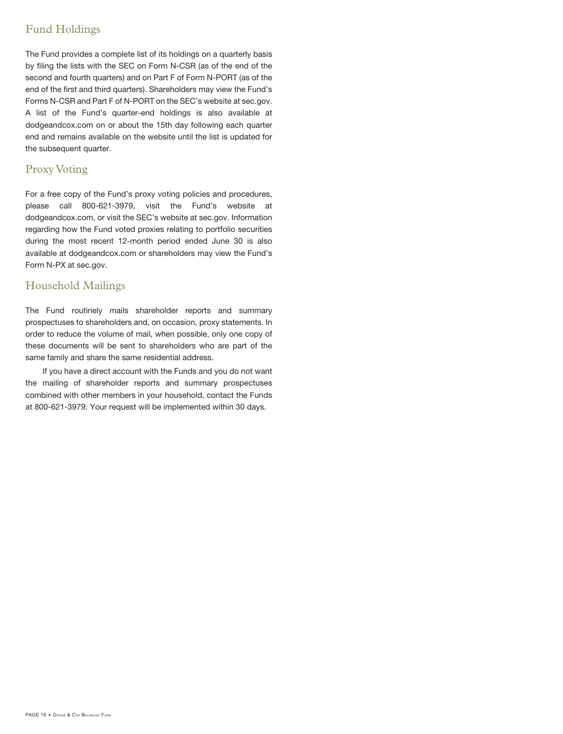### Fund Holdings

The Fund provides a complete list of its holdings on a quarterly basis by filing the lists with the SEC on Form N-CSR (as of the end of the second and fourth quarters) and on Part F of Form N-PORT (as of the end of the first and third quarters). Shareholders may view the Fund's Forms N-CSR and Part F of N-PORT on the SEC's website at sec.gov. A list of the Fund's quarter-end holdings is also available at dodgeandcox.com on or about the 15th day following each quarter end and remains available on the website until the list is updated for the subsequent quarter.

### Proxy Voting

For a free copy of the Fund's proxy voting policies and procedures, please call 800-621-3979, visit the Fund's website at dodgeandcox.com, or visit the SEC's website at sec.gov. Information regarding how the Fund voted proxies relating to portfolio securities during the most recent 12-month period ended June 30 is also available at dodgeandcox.com or shareholders may view the Fund's Form N-PX at sec.gov.

### Household Mailings

The Fund routinely mails shareholder reports and summary prospectuses to shareholders and, on occasion, proxy statements. In order to reduce the volume of mail, when possible, only one copy of these documents will be sent to shareholders who are part of the same family and share the same residential address.

If you have a direct account with the Funds and you do not want the mailing of shareholder reports and summary prospectuses combined with other members in your household, contact the Funds at 800-621-3979. Your request will be implemented within 30 days.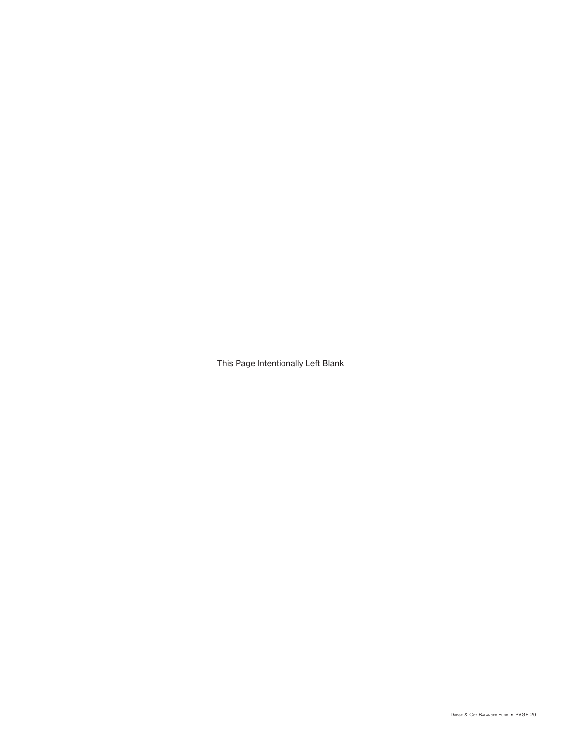This Page Intentionally Left Blank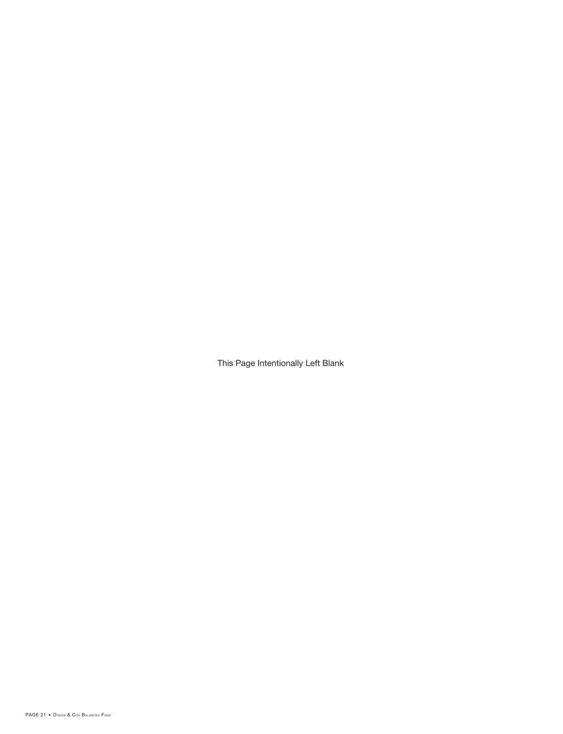This Page Intentionally Left Blank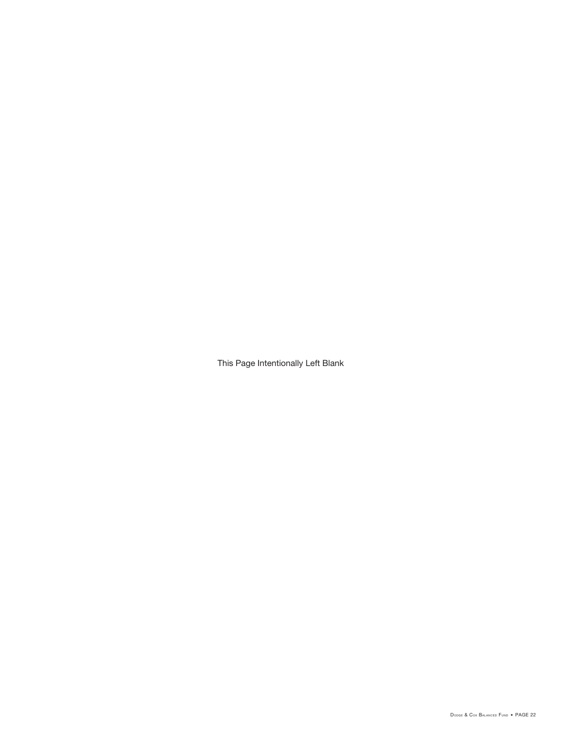This Page Intentionally Left Blank